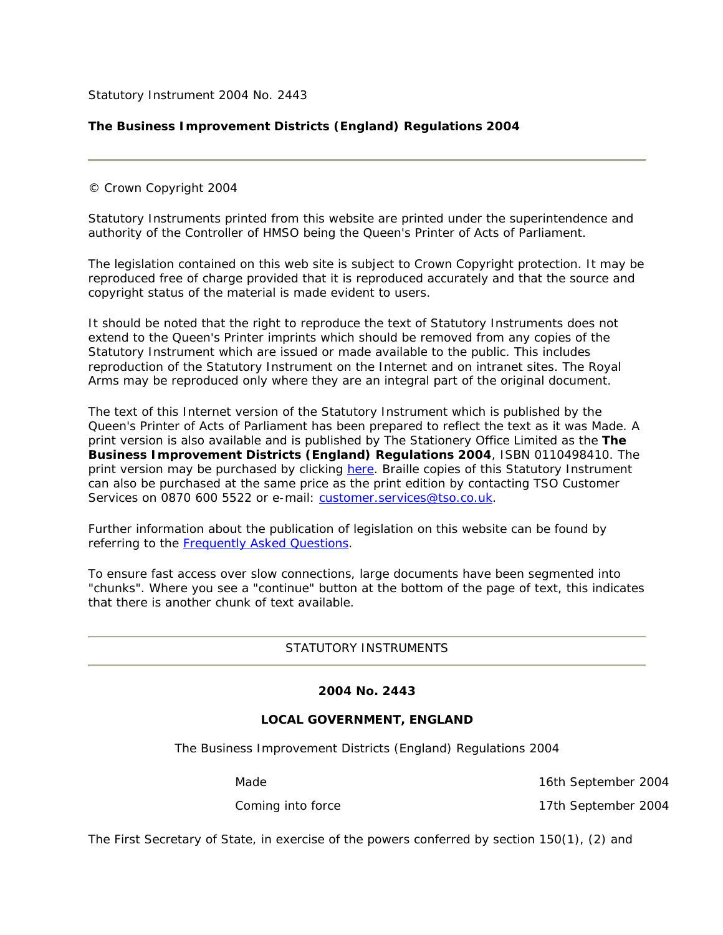Statutory Instrument 2004 No. 2443

# **The Business Improvement Districts (England) Regulations 2004**

© Crown Copyright 2004

Statutory Instruments printed from this website are printed under the superintendence and authority of the Controller of HMSO being the Queen's Printer of Acts of Parliament.

The legislation contained on this web site is subject to Crown Copyright protection. It may be reproduced free of charge provided that it is reproduced accurately and that the source and copyright status of the material is made evident to users.

It should be noted that the right to reproduce the text of Statutory Instruments does not extend to the Queen's Printer imprints which should be removed from any copies of the Statutory Instrument which are issued or made available to the public. This includes reproduction of the Statutory Instrument on the Internet and on intranet sites. The Royal Arms may be reproduced only where they are an integral part of the original document.

The text of this Internet version of the Statutory Instrument which is published by the Queen's Printer of Acts of Parliament has been prepared to reflect the text as it was Made. A print version is also available and is published by The Stationery Office Limited as the **The Business Improvement Districts (England) Regulations 2004**, ISBN 0110498410. The print version may be purchased by clicking here. Braille copies of this Statutory Instrument can also be purchased at the same price as the print edition by contacting TSO Customer Services on 0870 600 5522 or e-mail: customer.services@tso.co.uk.

Further information about the publication of legislation on this website can be found by referring to the Frequently Asked Questions.

To ensure fast access over slow connections, large documents have been segmented into "chunks". Where you see a "continue" button at the bottom of the page of text, this indicates that there is another chunk of text available.

STATUTORY INSTRUMENTS

## **2004 No. 2443**

## **LOCAL GOVERNMENT, ENGLAND**

The Business Improvement Districts (England) Regulations 2004

*Made 16th September 2004*

*Coming into force 17th September 2004*

The First Secretary of State, in exercise of the powers conferred by section 150(1), (2) and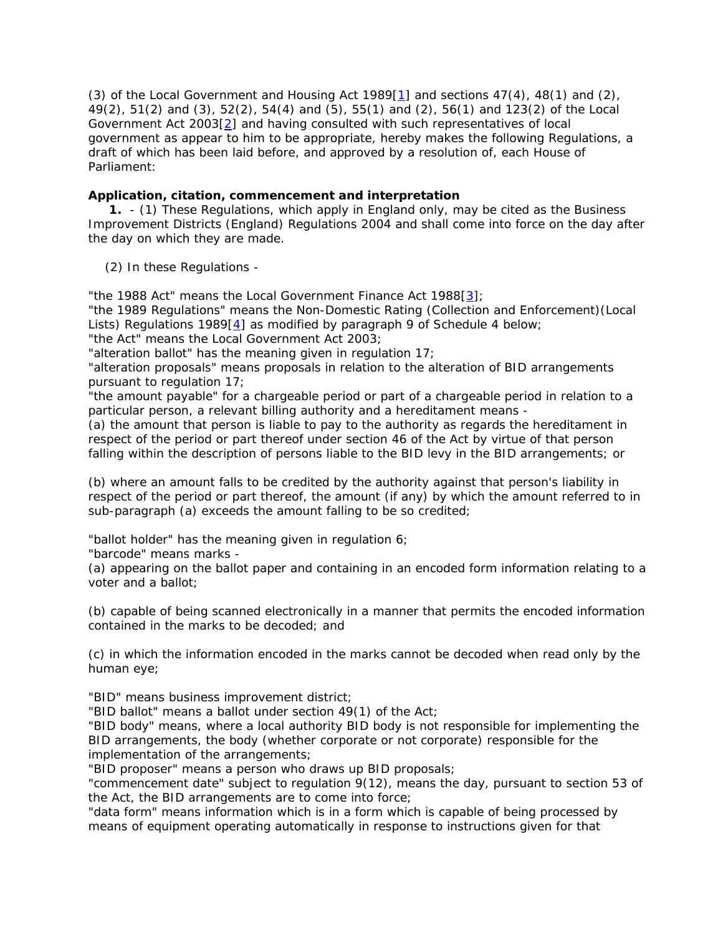(3) of the Local Government and Housing Act 1989 $[1]$  and sections 47(4), 48(1) and (2), 49(2), 51(2) and (3), 52(2), 54(4) and (5), 55(1) and (2), 56(1) and 123(2) of the Local Government Act 2003[2] and having consulted with such representatives of local government as appear to him to be appropriate, hereby makes the following Regulations, a draft of which has been laid before, and approved by a resolution of, each House of Parliament:

# **Application, citation, commencement and interpretation**

 **1.** - (1) These Regulations, which apply in England only, may be cited as the Business Improvement Districts (England) Regulations 2004 and shall come into force on the day after the day on which they are made.

(2) In these Regulations -

"the 1988 Act" means the Local Government Finance Act 1988[3];

"the 1989 Regulations" means the Non-Domestic Rating (Collection and Enforcement)(Local Lists) Regulations 1989[4] as modified by paragraph 9 of Schedule 4 below;

"the Act" means the Local Government Act 2003;

"alteration ballot" has the meaning given in regulation 17;

"alteration proposals" means proposals in relation to the alteration of BID arrangements pursuant to regulation 17;

"the amount payable" for a chargeable period or part of a chargeable period in relation to a particular person, a relevant billing authority and a hereditament means -

(a) the amount that person is liable to pay to the authority as regards the hereditament in respect of the period or part thereof under section 46 of the Act by virtue of that person falling within the description of persons liable to the BID levy in the BID arrangements; or

(b) where an amount falls to be credited by the authority against that person's liability in respect of the period or part thereof, the amount (if any) by which the amount referred to in sub-paragraph (a) exceeds the amount falling to be so credited;

"ballot holder" has the meaning given in regulation 6;

"barcode" means marks -

(a) appearing on the ballot paper and containing in an encoded form information relating to a voter and a ballot;

(b) capable of being scanned electronically in a manner that permits the encoded information contained in the marks to be decoded; and

(c) in which the information encoded in the marks cannot be decoded when read only by the human eye;

"BID" means business improvement district;

"BID ballot" means a ballot under section 49(1) of the Act;

"BID body" means, where a local authority BID body is not responsible for implementing the BID arrangements, the body (whether corporate or not corporate) responsible for the implementation of the arrangements;

"BID proposer" means a person who draws up BID proposals;

"commencement date" subject to regulation 9(12), means the day, pursuant to section 53 of the Act, the BID arrangements are to come into force;

"data form" means information which is in a form which is capable of being processed by means of equipment operating automatically in response to instructions given for that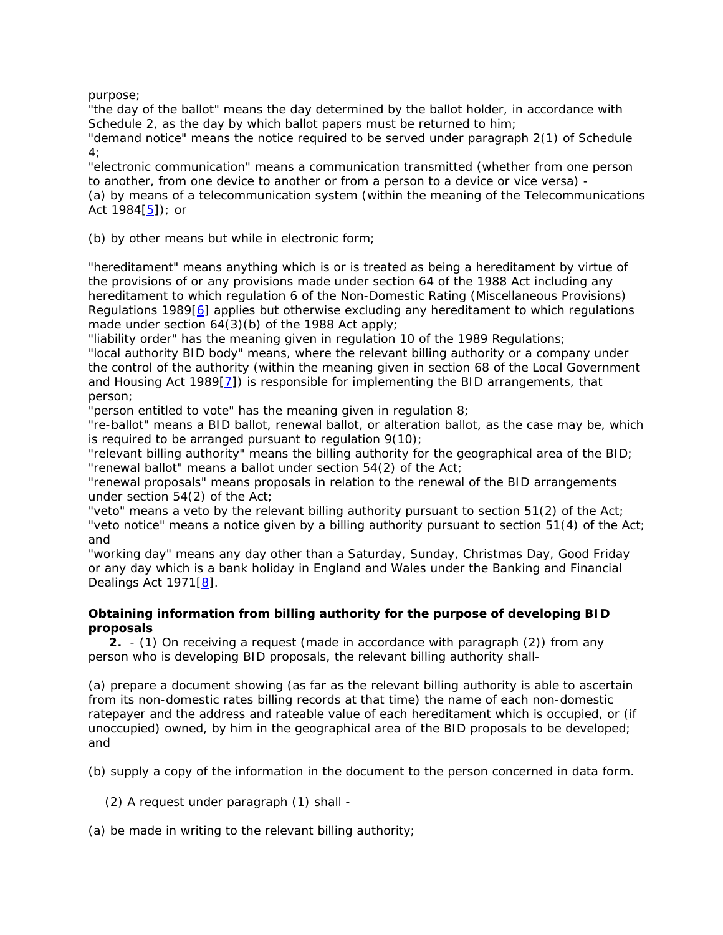purpose;

"the day of the ballot" means the day determined by the ballot holder, in accordance with Schedule 2, as the day by which ballot papers must be returned to him;

"demand notice" means the notice required to be served under paragraph 2(1) of Schedule 4;

"electronic communication" means a communication transmitted (whether from one person to another, from one device to another or from a person to a device or vice versa) - (a) by means of a telecommunication system (within the meaning of the Telecommunications Act 1984[5]); or

(b) by other means but while in electronic form;

"hereditament" means anything which is or is treated as being a hereditament by virtue of the provisions of or any provisions made under section 64 of the 1988 Act including any hereditament to which regulation 6 of the Non-Domestic Rating (Miscellaneous Provisions) Regulations 1989[6] applies but otherwise excluding any hereditament to which regulations made under section 64(3)(b) of the 1988 Act apply;

"liability order" has the meaning given in regulation 10 of the 1989 Regulations;

"local authority BID body" means, where the relevant billing authority or a company under the control of the authority (within the meaning given in section 68 of the Local Government and Housing Act 1989[7]) is responsible for implementing the BID arrangements, that person;

"person entitled to vote" has the meaning given in regulation 8;

"re-ballot" means a BID ballot, renewal ballot, or alteration ballot, as the case may be, which is required to be arranged pursuant to regulation  $9(10)$ ;

"relevant billing authority" means the billing authority for the geographical area of the BID; "renewal ballot" means a ballot under section 54(2) of the Act;

"renewal proposals" means proposals in relation to the renewal of the BID arrangements under section 54(2) of the Act;

"veto" means a veto by the relevant billing authority pursuant to section 51(2) of the Act; "veto notice" means a notice given by a billing authority pursuant to section 51(4) of the Act; and

"working day" means any day other than a Saturday, Sunday, Christmas Day, Good Friday or any day which is a bank holiday in England and Wales under the Banking and Financial Dealings Act 1971[8].

# **Obtaining information from billing authority for the purpose of developing BID proposals**

 **2.** - (1) On receiving a request (made in accordance with paragraph (2)) from any person who is developing BID proposals, the relevant billing authority shall-

(a) prepare a document showing (as far as the relevant billing authority is able to ascertain from its non-domestic rates billing records at that time) the name of each non-domestic ratepayer and the address and rateable value of each hereditament which is occupied, or (if unoccupied) owned, by him in the geographical area of the BID proposals to be developed; and

(b) supply a copy of the information in the document to the person concerned in data form.

(2) A request under paragraph (1) shall -

(a) be made in writing to the relevant billing authority;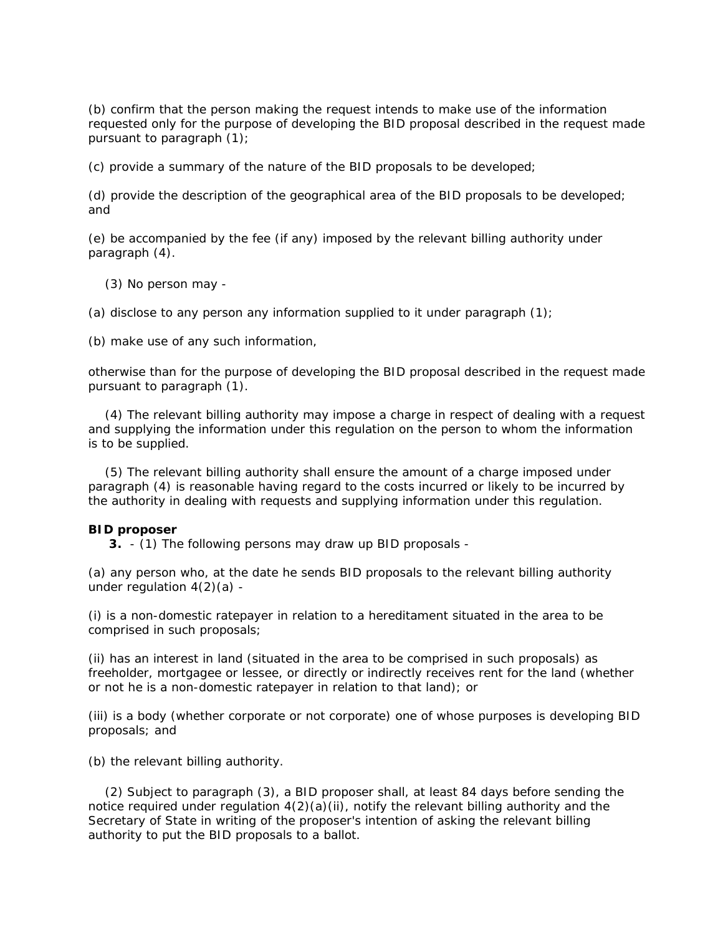(b) confirm that the person making the request intends to make use of the information requested only for the purpose of developing the BID proposal described in the request made pursuant to paragraph (1);

(c) provide a summary of the nature of the BID proposals to be developed;

(d) provide the description of the geographical area of the BID proposals to be developed; and

(e) be accompanied by the fee (if any) imposed by the relevant billing authority under paragraph (4).

(3) No person may -

(a) disclose to any person any information supplied to it under paragraph  $(1)$ ;

(b) make use of any such information,

otherwise than for the purpose of developing the BID proposal described in the request made pursuant to paragraph (1).

 (4) The relevant billing authority may impose a charge in respect of dealing with a request and supplying the information under this regulation on the person to whom the information is to be supplied.

 (5) The relevant billing authority shall ensure the amount of a charge imposed under paragraph (4) is reasonable having regard to the costs incurred or likely to be incurred by the authority in dealing with requests and supplying information under this regulation.

## **BID proposer**

**3.** - (1) The following persons may draw up BID proposals -

(a) any person who, at the date he sends BID proposals to the relevant billing authority under regulation  $4(2)(a)$  -

(i) is a non-domestic ratepayer in relation to a hereditament situated in the area to be comprised in such proposals;

(ii) has an interest in land (situated in the area to be comprised in such proposals) as freeholder, mortgagee or lessee, or directly or indirectly receives rent for the land (whether or not he is a non-domestic ratepayer in relation to that land); or

(iii) is a body (whether corporate or not corporate) one of whose purposes is developing BID proposals; and

(b) the relevant billing authority.

 (2) Subject to paragraph (3), a BID proposer shall, at least 84 days before sending the notice required under requiation  $4(2)(a)(ii)$ , notify the relevant billing authority and the Secretary of State in writing of the proposer's intention of asking the relevant billing authority to put the BID proposals to a ballot.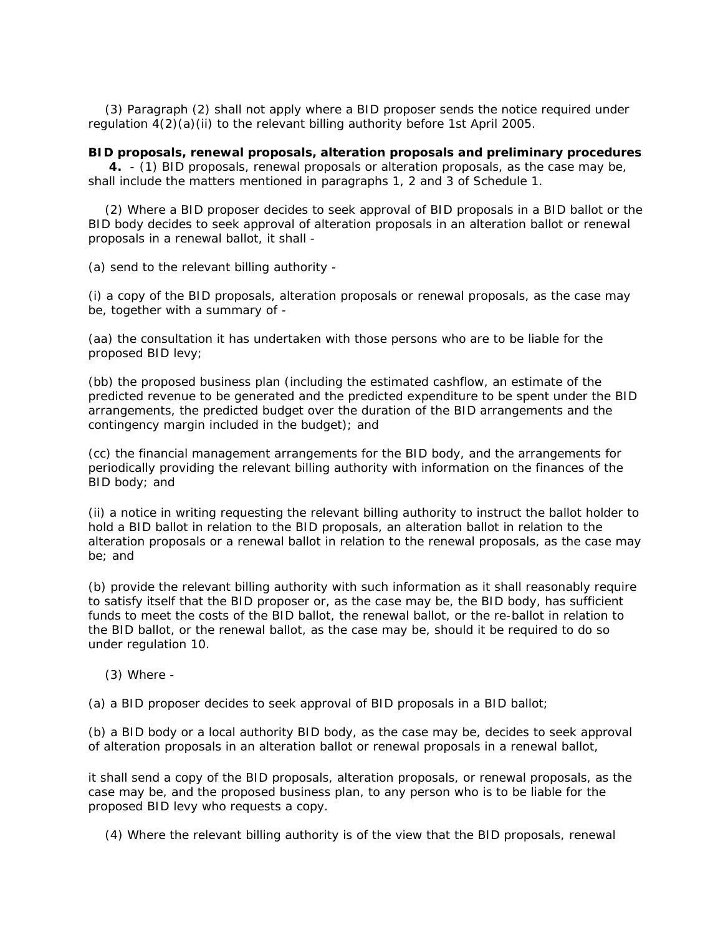(3) Paragraph (2) shall not apply where a BID proposer sends the notice required under regulation  $4(2)(a)(ii)$  to the relevant billing authority before 1st April 2005.

### **BID proposals, renewal proposals, alteration proposals and preliminary procedures**

 **4.** - (1) BID proposals, renewal proposals or alteration proposals, as the case may be, shall include the matters mentioned in paragraphs 1, 2 and 3 of Schedule 1.

 (2) Where a BID proposer decides to seek approval of BID proposals in a BID ballot or the BID body decides to seek approval of alteration proposals in an alteration ballot or renewal proposals in a renewal ballot, it shall -

(a) send to the relevant billing authority -

(i) a copy of the BID proposals, alteration proposals or renewal proposals, as the case may be, together with a summary of -

(aa) the consultation it has undertaken with those persons who are to be liable for the proposed BID levy;

(bb) the proposed business plan (including the estimated cashflow, an estimate of the predicted revenue to be generated and the predicted expenditure to be spent under the BID arrangements, the predicted budget over the duration of the BID arrangements and the contingency margin included in the budget); and

(cc) the financial management arrangements for the BID body, and the arrangements for periodically providing the relevant billing authority with information on the finances of the BID body; and

(ii) a notice in writing requesting the relevant billing authority to instruct the ballot holder to hold a BID ballot in relation to the BID proposals, an alteration ballot in relation to the alteration proposals or a renewal ballot in relation to the renewal proposals, as the case may be; and

(b) provide the relevant billing authority with such information as it shall reasonably require to satisfy itself that the BID proposer or, as the case may be, the BID body, has sufficient funds to meet the costs of the BID ballot, the renewal ballot, or the re-ballot in relation to the BID ballot, or the renewal ballot, as the case may be, should it be required to do so under regulation 10.

(3) Where -

(a) a BID proposer decides to seek approval of BID proposals in a BID ballot;

(b) a BID body or a local authority BID body, as the case may be, decides to seek approval of alteration proposals in an alteration ballot or renewal proposals in a renewal ballot,

it shall send a copy of the BID proposals, alteration proposals, or renewal proposals, as the case may be, and the proposed business plan, to any person who is to be liable for the proposed BID levy who requests a copy.

(4) Where the relevant billing authority is of the view that the BID proposals, renewal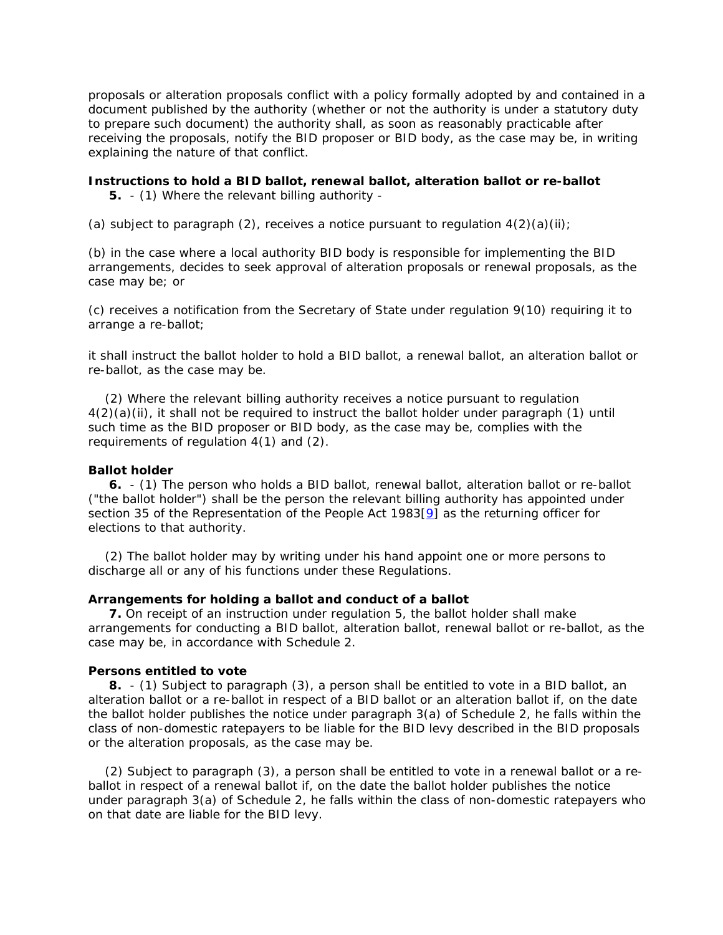proposals or alteration proposals conflict with a policy formally adopted by and contained in a document published by the authority (whether or not the authority is under a statutory duty to prepare such document) the authority shall, as soon as reasonably practicable after receiving the proposals, notify the BID proposer or BID body, as the case may be, in writing explaining the nature of that conflict.

# **Instructions to hold a BID ballot, renewal ballot, alteration ballot or re-ballot**

**5.** - (1) Where the relevant billing authority -

(a) subject to paragraph (2), receives a notice pursuant to regulation  $4(2)(a)(ii)$ ;

(b) in the case where a local authority BID body is responsible for implementing the BID arrangements, decides to seek approval of alteration proposals or renewal proposals, as the case may be; or

(c) receives a notification from the Secretary of State under regulation 9(10) requiring it to arrange a re-ballot;

it shall instruct the ballot holder to hold a BID ballot, a renewal ballot, an alteration ballot or re-ballot, as the case may be.

 (2) Where the relevant billing authority receives a notice pursuant to regulation  $4(2)(a)(ii)$ , it shall not be required to instruct the ballot holder under paragraph (1) until such time as the BID proposer or BID body, as the case may be, complies with the requirements of regulation 4(1) and (2).

### **Ballot holder**

 **6.** - (1) The person who holds a BID ballot, renewal ballot, alteration ballot or re-ballot ("the ballot holder") shall be the person the relevant billing authority has appointed under section 35 of the Representation of the People Act 1983[9] as the returning officer for elections to that authority.

 (2) The ballot holder may by writing under his hand appoint one or more persons to discharge all or any of his functions under these Regulations.

### **Arrangements for holding a ballot and conduct of a ballot**

 **7.** On receipt of an instruction under regulation 5, the ballot holder shall make arrangements for conducting a BID ballot, alteration ballot, renewal ballot or re-ballot, as the case may be, in accordance with Schedule 2.

#### **Persons entitled to vote**

 **8.** - (1) Subject to paragraph (3), a person shall be entitled to vote in a BID ballot, an alteration ballot or a re-ballot in respect of a BID ballot or an alteration ballot if, on the date the ballot holder publishes the notice under paragraph 3(a) of Schedule 2, he falls within the class of non-domestic ratepayers to be liable for the BID levy described in the BID proposals or the alteration proposals, as the case may be.

 (2) Subject to paragraph (3), a person shall be entitled to vote in a renewal ballot or a reballot in respect of a renewal ballot if, on the date the ballot holder publishes the notice under paragraph 3(a) of Schedule 2, he falls within the class of non-domestic ratepayers who on that date are liable for the BID levy.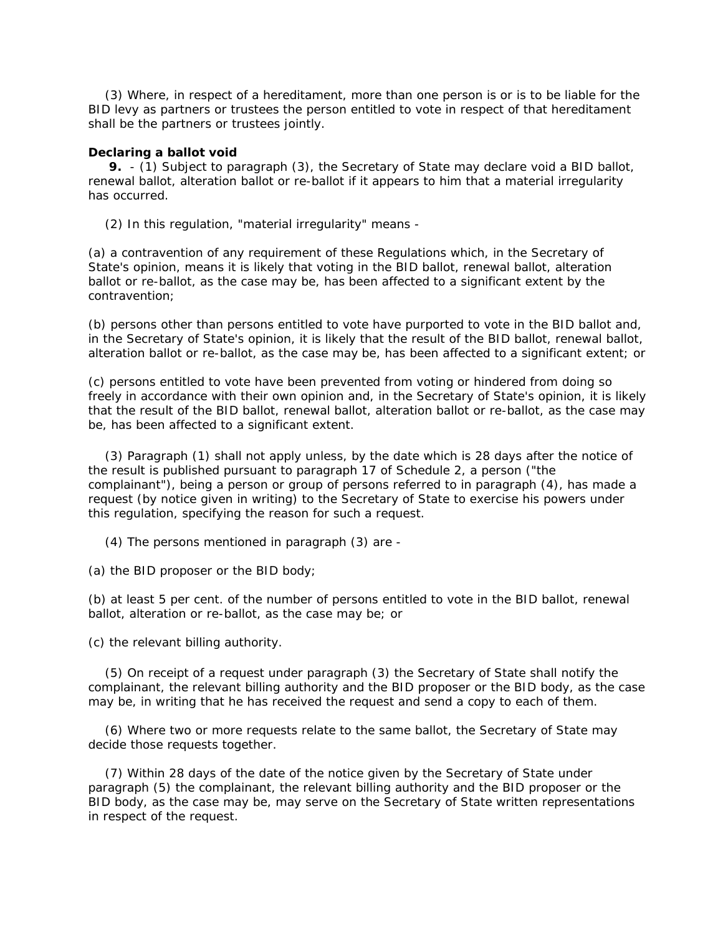(3) Where, in respect of a hereditament, more than one person is or is to be liable for the BID levy as partners or trustees the person entitled to vote in respect of that hereditament shall be the partners or trustees jointly.

### **Declaring a ballot void**

 **9.** - (1) Subject to paragraph (3), the Secretary of State may declare void a BID ballot, renewal ballot, alteration ballot or re-ballot if it appears to him that a material irregularity has occurred.

(2) In this regulation, "material irregularity" means -

(a) a contravention of any requirement of these Regulations which, in the Secretary of State's opinion, means it is likely that voting in the BID ballot, renewal ballot, alteration ballot or re-ballot, as the case may be, has been affected to a significant extent by the contravention;

(b) persons other than persons entitled to vote have purported to vote in the BID ballot and, in the Secretary of State's opinion, it is likely that the result of the BID ballot, renewal ballot, alteration ballot or re-ballot, as the case may be, has been affected to a significant extent; or

(c) persons entitled to vote have been prevented from voting or hindered from doing so freely in accordance with their own opinion and, in the Secretary of State's opinion, it is likely that the result of the BID ballot, renewal ballot, alteration ballot or re-ballot, as the case may be, has been affected to a significant extent.

 (3) Paragraph (1) shall not apply unless, by the date which is 28 days after the notice of the result is published pursuant to paragraph 17 of Schedule 2, a person ("the complainant"), being a person or group of persons referred to in paragraph (4), has made a request (by notice given in writing) to the Secretary of State to exercise his powers under this regulation, specifying the reason for such a request.

(4) The persons mentioned in paragraph (3) are -

(a) the BID proposer or the BID body;

(b) at least 5 per cent. of the number of persons entitled to vote in the BID ballot, renewal ballot, alteration or re-ballot, as the case may be; or

(c) the relevant billing authority.

 (5) On receipt of a request under paragraph (3) the Secretary of State shall notify the complainant, the relevant billing authority and the BID proposer or the BID body, as the case may be, in writing that he has received the request and send a copy to each of them.

 (6) Where two or more requests relate to the same ballot, the Secretary of State may decide those requests together.

 (7) Within 28 days of the date of the notice given by the Secretary of State under paragraph (5) the complainant, the relevant billing authority and the BID proposer or the BID body, as the case may be, may serve on the Secretary of State written representations in respect of the request.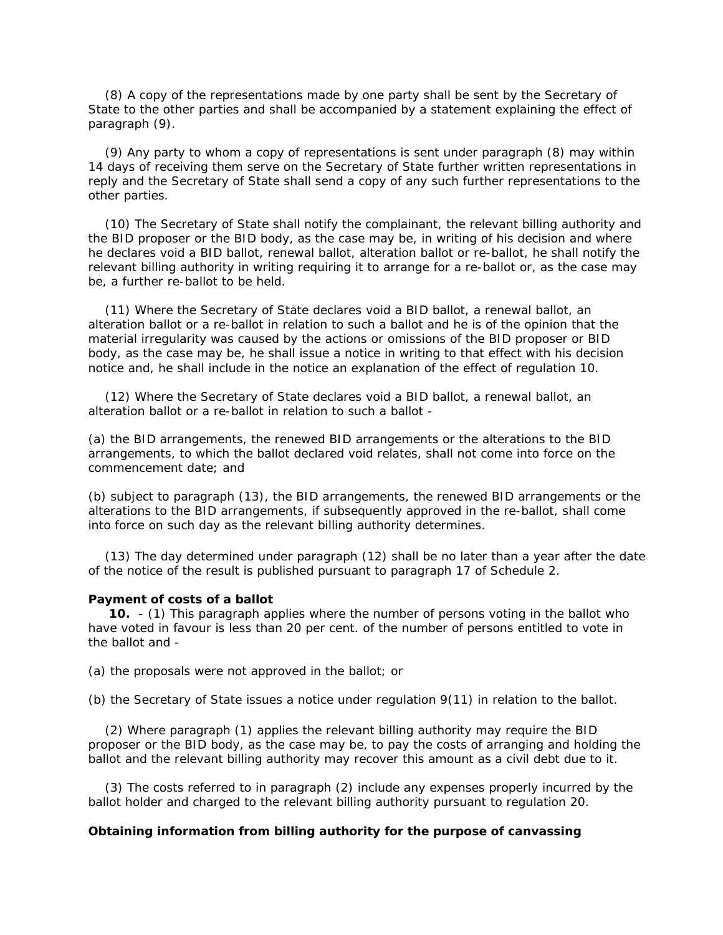(8) A copy of the representations made by one party shall be sent by the Secretary of State to the other parties and shall be accompanied by a statement explaining the effect of paragraph (9).

 (9) Any party to whom a copy of representations is sent under paragraph (8) may within 14 days of receiving them serve on the Secretary of State further written representations in reply and the Secretary of State shall send a copy of any such further representations to the other parties.

 (10) The Secretary of State shall notify the complainant, the relevant billing authority and the BID proposer or the BID body, as the case may be, in writing of his decision and where he declares void a BID ballot, renewal ballot, alteration ballot or re-ballot, he shall notify the relevant billing authority in writing requiring it to arrange for a re-ballot or, as the case may be, a further re-ballot to be held.

 (11) Where the Secretary of State declares void a BID ballot, a renewal ballot, an alteration ballot or a re-ballot in relation to such a ballot and he is of the opinion that the material irregularity was caused by the actions or omissions of the BID proposer or BID body, as the case may be, he shall issue a notice in writing to that effect with his decision notice and, he shall include in the notice an explanation of the effect of regulation 10.

 (12) Where the Secretary of State declares void a BID ballot, a renewal ballot, an alteration ballot or a re-ballot in relation to such a ballot -

(a) the BID arrangements, the renewed BID arrangements or the alterations to the BID arrangements, to which the ballot declared void relates, shall not come into force on the commencement date; and

(b) subject to paragraph (13), the BID arrangements, the renewed BID arrangements or the alterations to the BID arrangements, if subsequently approved in the re-ballot, shall come into force on such day as the relevant billing authority determines.

 (13) The day determined under paragraph (12) shall be no later than a year after the date of the notice of the result is published pursuant to paragraph 17 of Schedule 2.

#### **Payment of costs of a ballot**

 **10.** - (1) This paragraph applies where the number of persons voting in the ballot who have voted in favour is less than 20 per cent. of the number of persons entitled to vote in the ballot and -

(a) the proposals were not approved in the ballot; or

(b) the Secretary of State issues a notice under regulation 9(11) in relation to the ballot.

 (2) Where paragraph (1) applies the relevant billing authority may require the BID proposer or the BID body, as the case may be, to pay the costs of arranging and holding the ballot and the relevant billing authority may recover this amount as a civil debt due to it.

 (3) The costs referred to in paragraph (2) include any expenses properly incurred by the ballot holder and charged to the relevant billing authority pursuant to regulation 20.

### **Obtaining information from billing authority for the purpose of canvassing**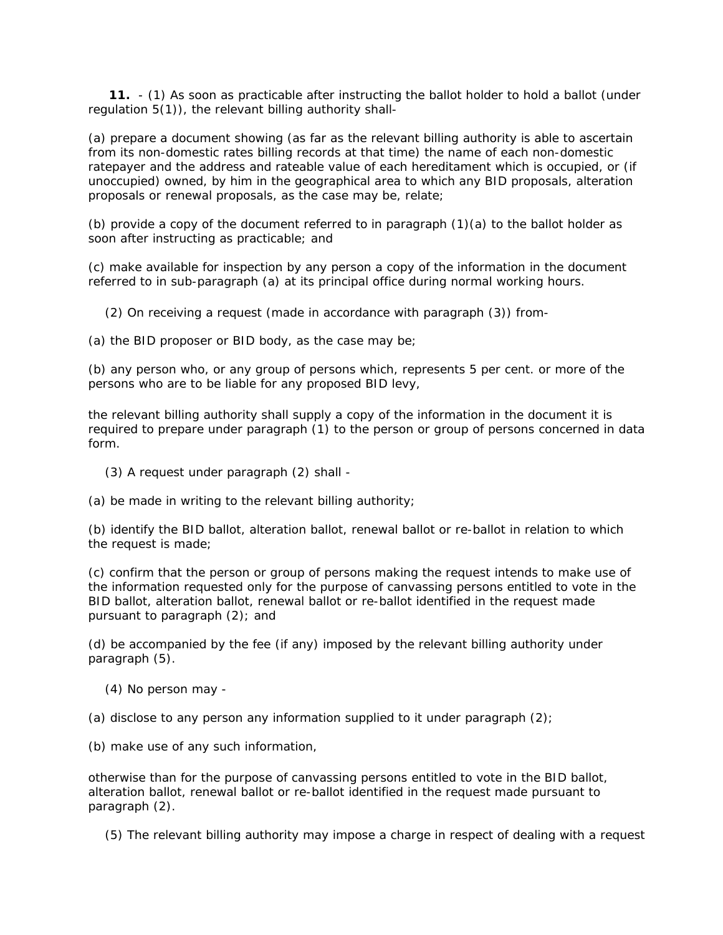**11.** - (1) As soon as practicable after instructing the ballot holder to hold a ballot (under regulation 5(1)), the relevant billing authority shall-

(a) prepare a document showing (as far as the relevant billing authority is able to ascertain from its non-domestic rates billing records at that time) the name of each non-domestic ratepayer and the address and rateable value of each hereditament which is occupied, or (if unoccupied) owned, by him in the geographical area to which any BID proposals, alteration proposals or renewal proposals, as the case may be, relate;

(b) provide a copy of the document referred to in paragraph (1)(a) to the ballot holder as soon after instructing as practicable; and

(c) make available for inspection by any person a copy of the information in the document referred to in sub-paragraph (a) at its principal office during normal working hours.

(2) On receiving a request (made in accordance with paragraph (3)) from-

(a) the BID proposer or BID body, as the case may be;

(b) any person who, or any group of persons which, represents 5 per cent. or more of the persons who are to be liable for any proposed BID levy,

the relevant billing authority shall supply a copy of the information in the document it is required to prepare under paragraph (1) to the person or group of persons concerned in data form.

- (3) A request under paragraph (2) shall -
- (a) be made in writing to the relevant billing authority;

(b) identify the BID ballot, alteration ballot, renewal ballot or re-ballot in relation to which the request is made;

(c) confirm that the person or group of persons making the request intends to make use of the information requested only for the purpose of canvassing persons entitled to vote in the BID ballot, alteration ballot, renewal ballot or re-ballot identified in the request made pursuant to paragraph (2); and

(d) be accompanied by the fee (if any) imposed by the relevant billing authority under paragraph (5).

(4) No person may -

(a) disclose to any person any information supplied to it under paragraph  $(2)$ ;

(b) make use of any such information,

otherwise than for the purpose of canvassing persons entitled to vote in the BID ballot, alteration ballot, renewal ballot or re-ballot identified in the request made pursuant to paragraph (2).

(5) The relevant billing authority may impose a charge in respect of dealing with a request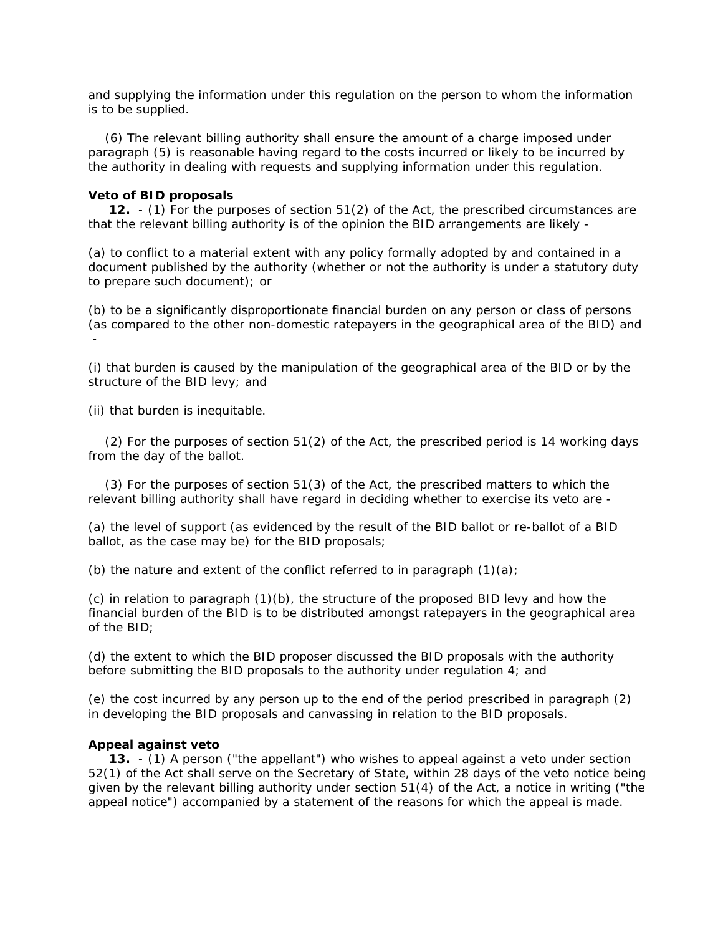and supplying the information under this regulation on the person to whom the information is to be supplied.

 (6) The relevant billing authority shall ensure the amount of a charge imposed under paragraph (5) is reasonable having regard to the costs incurred or likely to be incurred by the authority in dealing with requests and supplying information under this regulation.

#### **Veto of BID proposals**

 **12.** - (1) For the purposes of section 51(2) of the Act, the prescribed circumstances are that the relevant billing authority is of the opinion the BID arrangements are likely -

(a) to conflict to a material extent with any policy formally adopted by and contained in a document published by the authority (whether or not the authority is under a statutory duty to prepare such document); or

(b) to be a significantly disproportionate financial burden on any person or class of persons (as compared to the other non-domestic ratepayers in the geographical area of the BID) and -

(i) that burden is caused by the manipulation of the geographical area of the BID or by the structure of the BID levy; and

(ii) that burden is inequitable.

 (2) For the purposes of section 51(2) of the Act, the prescribed period is 14 working days from the day of the ballot.

 (3) For the purposes of section 51(3) of the Act, the prescribed matters to which the relevant billing authority shall have regard in deciding whether to exercise its veto are -

(a) the level of support (as evidenced by the result of the BID ballot or re-ballot of a BID ballot, as the case may be) for the BID proposals;

(b) the nature and extent of the conflict referred to in paragraph  $(1)(a)$ ;

(c) in relation to paragraph (1)(b), the structure of the proposed BID levy and how the financial burden of the BID is to be distributed amongst ratepayers in the geographical area of the BID;

(d) the extent to which the BID proposer discussed the BID proposals with the authority before submitting the BID proposals to the authority under regulation 4; and

(e) the cost incurred by any person up to the end of the period prescribed in paragraph (2) in developing the BID proposals and canvassing in relation to the BID proposals.

#### **Appeal against veto**

 **13.** - (1) A person ("the appellant") who wishes to appeal against a veto under section 52(1) of the Act shall serve on the Secretary of State, within 28 days of the veto notice being given by the relevant billing authority under section 51(4) of the Act, a notice in writing ("the appeal notice") accompanied by a statement of the reasons for which the appeal is made.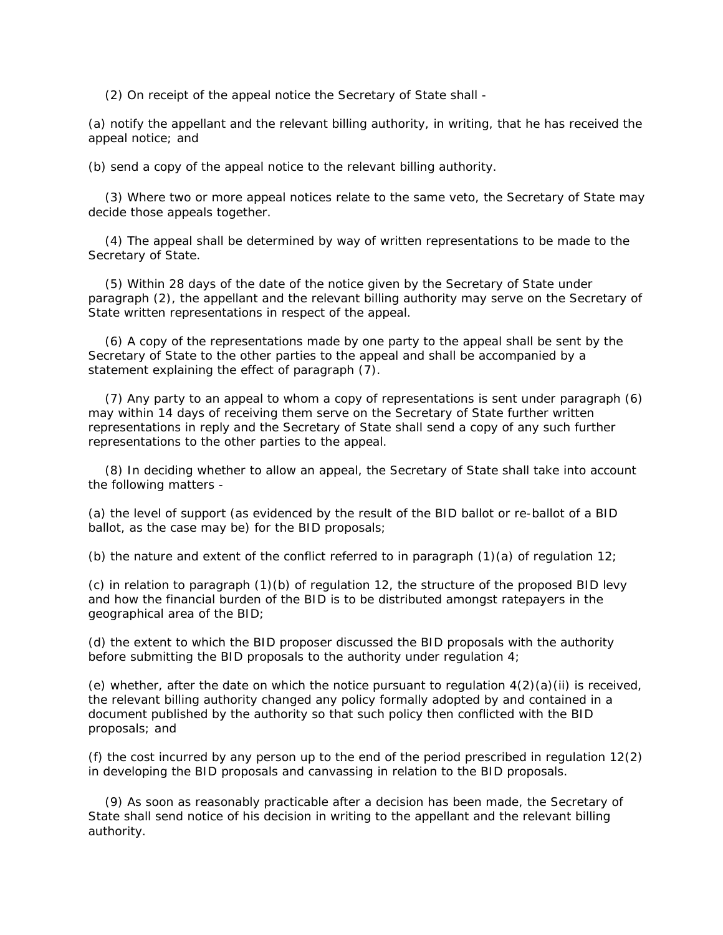(2) On receipt of the appeal notice the Secretary of State shall -

(a) notify the appellant and the relevant billing authority, in writing, that he has received the appeal notice; and

(b) send a copy of the appeal notice to the relevant billing authority.

 (3) Where two or more appeal notices relate to the same veto, the Secretary of State may decide those appeals together.

 (4) The appeal shall be determined by way of written representations to be made to the Secretary of State.

 (5) Within 28 days of the date of the notice given by the Secretary of State under paragraph (2), the appellant and the relevant billing authority may serve on the Secretary of State written representations in respect of the appeal.

 (6) A copy of the representations made by one party to the appeal shall be sent by the Secretary of State to the other parties to the appeal and shall be accompanied by a statement explaining the effect of paragraph (7).

 (7) Any party to an appeal to whom a copy of representations is sent under paragraph (6) may within 14 days of receiving them serve on the Secretary of State further written representations in reply and the Secretary of State shall send a copy of any such further representations to the other parties to the appeal.

 (8) In deciding whether to allow an appeal, the Secretary of State shall take into account the following matters -

(a) the level of support (as evidenced by the result of the BID ballot or re-ballot of a BID ballot, as the case may be) for the BID proposals;

(b) the nature and extent of the conflict referred to in paragraph  $(1)(a)$  of regulation 12;

(c) in relation to paragraph (1)(b) of regulation 12, the structure of the proposed BID levy and how the financial burden of the BID is to be distributed amongst ratepayers in the geographical area of the BID;

(d) the extent to which the BID proposer discussed the BID proposals with the authority before submitting the BID proposals to the authority under regulation 4;

(e) whether, after the date on which the notice pursuant to regulation  $4(2)(a)(ii)$  is received, the relevant billing authority changed any policy formally adopted by and contained in a document published by the authority so that such policy then conflicted with the BID proposals; and

(f) the cost incurred by any person up to the end of the period prescribed in regulation 12(2) in developing the BID proposals and canvassing in relation to the BID proposals.

 (9) As soon as reasonably practicable after a decision has been made, the Secretary of State shall send notice of his decision in writing to the appellant and the relevant billing authority.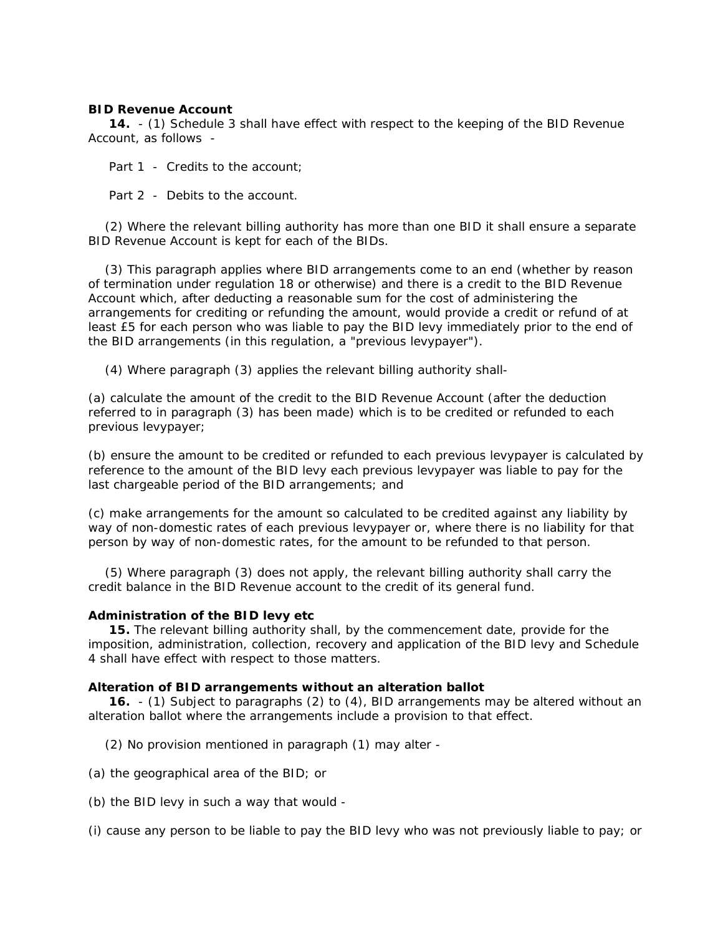## **BID Revenue Account**

 **14.** - (1) Schedule 3 shall have effect with respect to the keeping of the BID Revenue Account, as follows -

Part 1 - Credits to the account:

Part 2 - Debits to the account.

 (2) Where the relevant billing authority has more than one BID it shall ensure a separate BID Revenue Account is kept for each of the BIDs.

 (3) This paragraph applies where BID arrangements come to an end (whether by reason of termination under regulation 18 or otherwise) and there is a credit to the BID Revenue Account which, after deducting a reasonable sum for the cost of administering the arrangements for crediting or refunding the amount, would provide a credit or refund of at least £5 for each person who was liable to pay the BID levy immediately prior to the end of the BID arrangements (in this regulation, a "previous levypayer").

(4) Where paragraph (3) applies the relevant billing authority shall-

(a) calculate the amount of the credit to the BID Revenue Account (after the deduction referred to in paragraph (3) has been made) which is to be credited or refunded to each previous levypayer;

(b) ensure the amount to be credited or refunded to each previous levypayer is calculated by reference to the amount of the BID levy each previous levypayer was liable to pay for the last chargeable period of the BID arrangements; and

(c) make arrangements for the amount so calculated to be credited against any liability by way of non-domestic rates of each previous levypayer or, where there is no liability for that person by way of non-domestic rates, for the amount to be refunded to that person.

 (5) Where paragraph (3) does not apply, the relevant billing authority shall carry the credit balance in the BID Revenue account to the credit of its general fund.

## **Administration of the BID levy etc**

 **15.** The relevant billing authority shall, by the commencement date, provide for the imposition, administration, collection, recovery and application of the BID levy and Schedule 4 shall have effect with respect to those matters.

## **Alteration of BID arrangements without an alteration ballot**

 **16.** - (1) Subject to paragraphs (2) to (4), BID arrangements may be altered without an alteration ballot where the arrangements include a provision to that effect.

(2) No provision mentioned in paragraph (1) may alter -

- (a) the geographical area of the BID; or
- (b) the BID levy in such a way that would -

(i) cause any person to be liable to pay the BID levy who was not previously liable to pay; or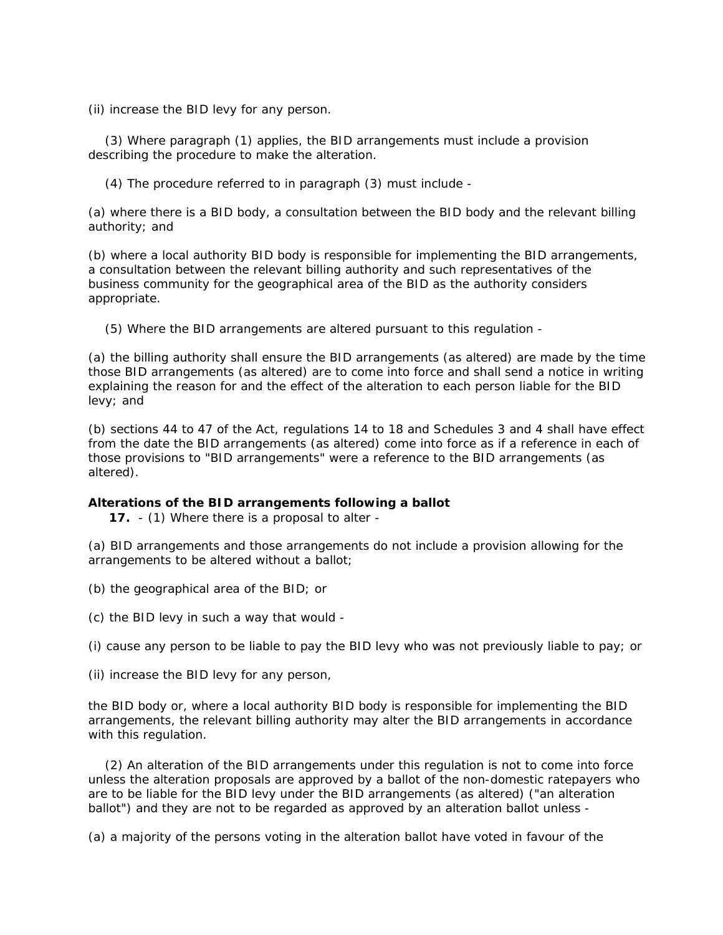(ii) increase the BID levy for any person.

 (3) Where paragraph (1) applies, the BID arrangements must include a provision describing the procedure to make the alteration.

(4) The procedure referred to in paragraph (3) must include -

(a) where there is a BID body, a consultation between the BID body and the relevant billing authority; and

(b) where a local authority BID body is responsible for implementing the BID arrangements, a consultation between the relevant billing authority and such representatives of the business community for the geographical area of the BID as the authority considers appropriate.

(5) Where the BID arrangements are altered pursuant to this regulation -

(a) the billing authority shall ensure the BID arrangements (as altered) are made by the time those BID arrangements (as altered) are to come into force and shall send a notice in writing explaining the reason for and the effect of the alteration to each person liable for the BID levy; and

(b) sections 44 to 47 of the Act, regulations 14 to 18 and Schedules 3 and 4 shall have effect from the date the BID arrangements (as altered) come into force as if a reference in each of those provisions to "BID arrangements" were a reference to the BID arrangements (as altered).

## **Alterations of the BID arrangements following a ballot**

**17.** - (1) Where there is a proposal to alter -

(a) BID arrangements and those arrangements do not include a provision allowing for the arrangements to be altered without a ballot;

(b) the geographical area of the BID; or

(c) the BID levy in such a way that would -

(i) cause any person to be liable to pay the BID levy who was not previously liable to pay; or

(ii) increase the BID levy for any person,

the BID body or, where a local authority BID body is responsible for implementing the BID arrangements, the relevant billing authority may alter the BID arrangements in accordance with this regulation.

 (2) An alteration of the BID arrangements under this regulation is not to come into force unless the alteration proposals are approved by a ballot of the non-domestic ratepayers who are to be liable for the BID levy under the BID arrangements (as altered) ("an alteration ballot") and they are not to be regarded as approved by an alteration ballot unless -

(a) a majority of the persons voting in the alteration ballot have voted in favour of the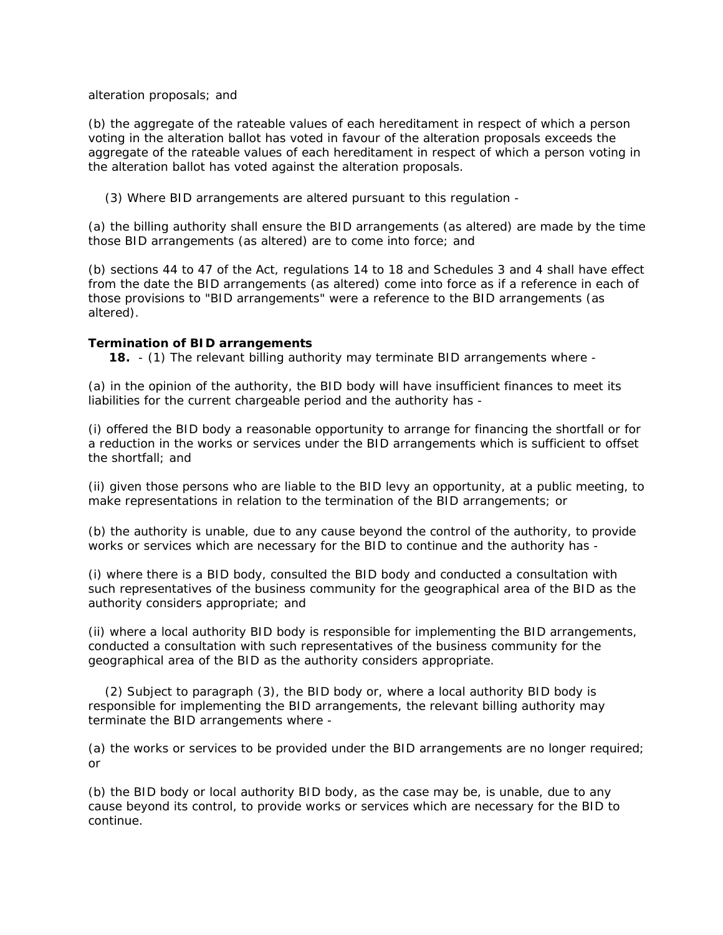## alteration proposals; and

(b) the aggregate of the rateable values of each hereditament in respect of which a person voting in the alteration ballot has voted in favour of the alteration proposals exceeds the aggregate of the rateable values of each hereditament in respect of which a person voting in the alteration ballot has voted against the alteration proposals.

(3) Where BID arrangements are altered pursuant to this regulation -

(a) the billing authority shall ensure the BID arrangements (as altered) are made by the time those BID arrangements (as altered) are to come into force; and

(b) sections 44 to 47 of the Act, regulations 14 to 18 and Schedules 3 and 4 shall have effect from the date the BID arrangements (as altered) come into force as if a reference in each of those provisions to "BID arrangements" were a reference to the BID arrangements (as altered).

## **Termination of BID arrangements**

**18.** - (1) The relevant billing authority may terminate BID arrangements where -

(a) in the opinion of the authority, the BID body will have insufficient finances to meet its liabilities for the current chargeable period and the authority has -

(i) offered the BID body a reasonable opportunity to arrange for financing the shortfall or for a reduction in the works or services under the BID arrangements which is sufficient to offset the shortfall; and

(ii) given those persons who are liable to the BID levy an opportunity, at a public meeting, to make representations in relation to the termination of the BID arrangements; or

(b) the authority is unable, due to any cause beyond the control of the authority, to provide works or services which are necessary for the BID to continue and the authority has -

(i) where there is a BID body, consulted the BID body and conducted a consultation with such representatives of the business community for the geographical area of the BID as the authority considers appropriate; and

(ii) where a local authority BID body is responsible for implementing the BID arrangements, conducted a consultation with such representatives of the business community for the geographical area of the BID as the authority considers appropriate.

 (2) Subject to paragraph (3), the BID body or, where a local authority BID body is responsible for implementing the BID arrangements, the relevant billing authority may terminate the BID arrangements where -

(a) the works or services to be provided under the BID arrangements are no longer required; or

(b) the BID body or local authority BID body, as the case may be, is unable, due to any cause beyond its control, to provide works or services which are necessary for the BID to continue.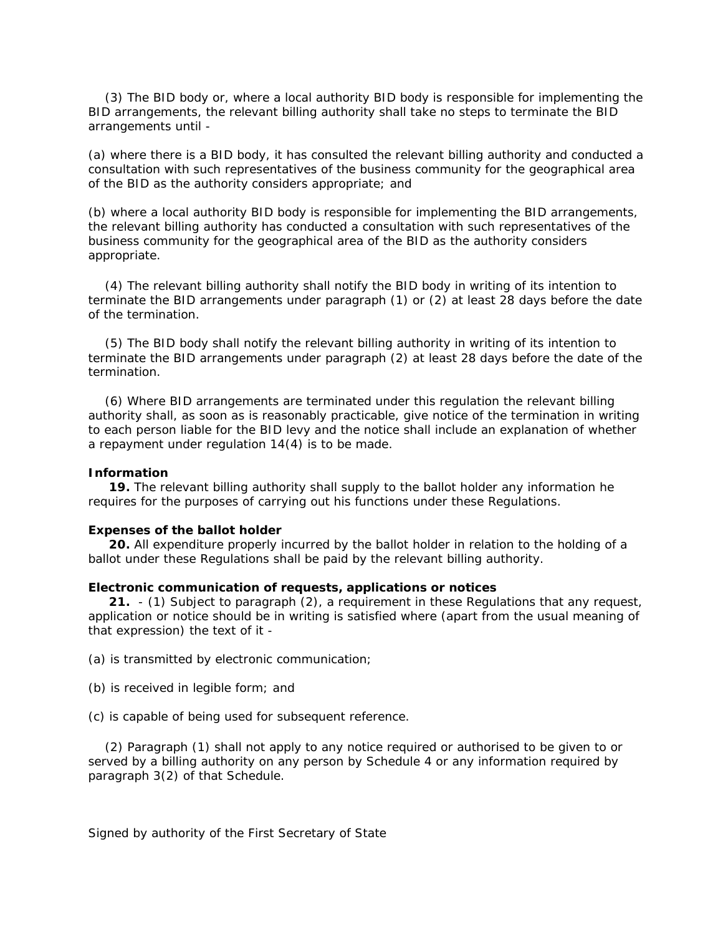(3) The BID body or, where a local authority BID body is responsible for implementing the BID arrangements, the relevant billing authority shall take no steps to terminate the BID arrangements until -

(a) where there is a BID body, it has consulted the relevant billing authority and conducted a consultation with such representatives of the business community for the geographical area of the BID as the authority considers appropriate; and

(b) where a local authority BID body is responsible for implementing the BID arrangements, the relevant billing authority has conducted a consultation with such representatives of the business community for the geographical area of the BID as the authority considers appropriate.

 (4) The relevant billing authority shall notify the BID body in writing of its intention to terminate the BID arrangements under paragraph (1) or (2) at least 28 days before the date of the termination.

 (5) The BID body shall notify the relevant billing authority in writing of its intention to terminate the BID arrangements under paragraph (2) at least 28 days before the date of the termination.

 (6) Where BID arrangements are terminated under this regulation the relevant billing authority shall, as soon as is reasonably practicable, give notice of the termination in writing to each person liable for the BID levy and the notice shall include an explanation of whether a repayment under regulation 14(4) is to be made.

#### **Information**

 **19.** The relevant billing authority shall supply to the ballot holder any information he requires for the purposes of carrying out his functions under these Regulations.

#### **Expenses of the ballot holder**

 **20.** All expenditure properly incurred by the ballot holder in relation to the holding of a ballot under these Regulations shall be paid by the relevant billing authority.

### **Electronic communication of requests, applications or notices**

 **21.** - (1) Subject to paragraph (2), a requirement in these Regulations that any request, application or notice should be in writing is satisfied where (apart from the usual meaning of that expression) the text of it -

(a) is transmitted by electronic communication;

- (b) is received in legible form; and
- (c) is capable of being used for subsequent reference.

 (2) Paragraph (1) shall not apply to any notice required or authorised to be given to or served by a billing authority on any person by Schedule 4 or any information required by paragraph 3(2) of that Schedule.

Signed by authority of the First Secretary of State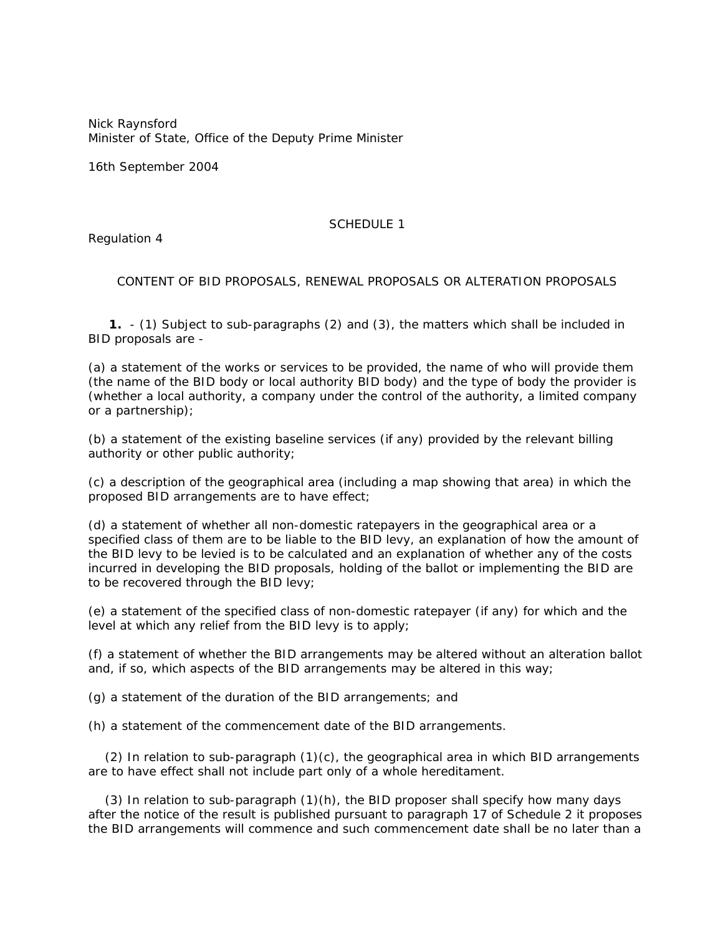*Nick Raynsford* Minister of State, Office of the Deputy Prime Minister

16th September 2004

## SCHEDULE 1

Regulation 4

CONTENT OF BID PROPOSALS, RENEWAL PROPOSALS OR ALTERATION PROPOSALS

 **1.** - (1) Subject to sub-paragraphs (2) and (3), the matters which shall be included in BID proposals are -

(a) a statement of the works or services to be provided, the name of who will provide them (the name of the BID body or local authority BID body) and the type of body the provider is (whether a local authority, a company under the control of the authority, a limited company or a partnership);

(b) a statement of the existing baseline services (if any) provided by the relevant billing authority or other public authority;

(c) a description of the geographical area (including a map showing that area) in which the proposed BID arrangements are to have effect;

(d) a statement of whether all non-domestic ratepayers in the geographical area or a specified class of them are to be liable to the BID levy, an explanation of how the amount of the BID levy to be levied is to be calculated and an explanation of whether any of the costs incurred in developing the BID proposals, holding of the ballot or implementing the BID are to be recovered through the BID levy;

(e) a statement of the specified class of non-domestic ratepayer (if any) for which and the level at which any relief from the BID levy is to apply;

(f) a statement of whether the BID arrangements may be altered without an alteration ballot and, if so, which aspects of the BID arrangements may be altered in this way;

(g) a statement of the duration of the BID arrangements; and

(h) a statement of the commencement date of the BID arrangements.

 $(2)$  In relation to sub-paragraph  $(1)(c)$ , the geographical area in which BID arrangements are to have effect shall not include part only of a whole hereditament.

 (3) In relation to sub-paragraph (1)(h), the BID proposer shall specify how many days after the notice of the result is published pursuant to paragraph 17 of Schedule 2 it proposes the BID arrangements will commence and such commencement date shall be no later than a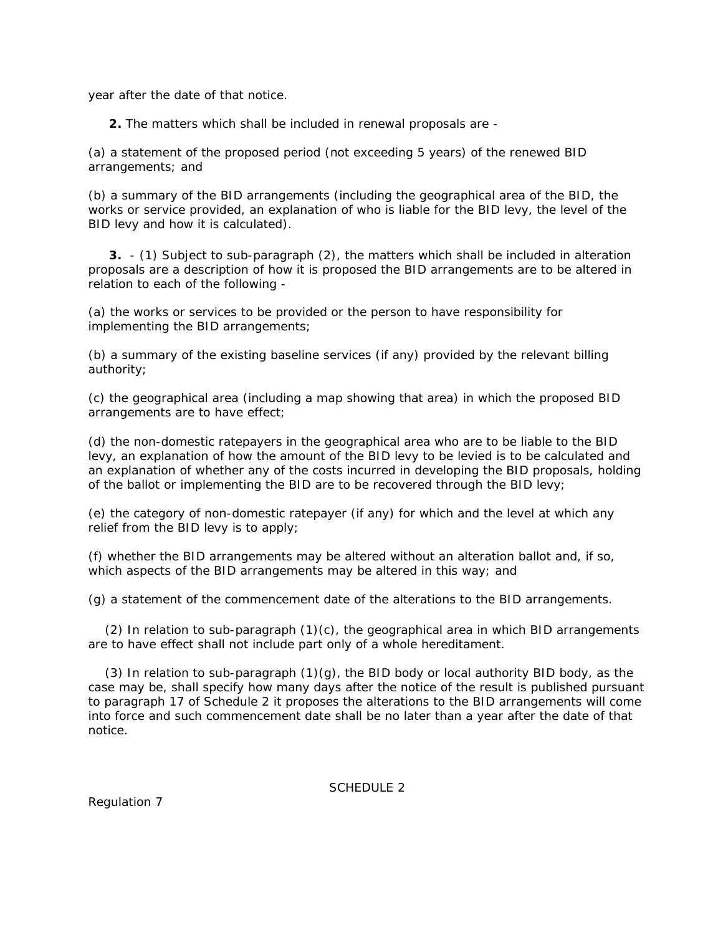year after the date of that notice.

**2.** The matters which shall be included in renewal proposals are -

(a) a statement of the proposed period (not exceeding 5 years) of the renewed BID arrangements; and

(b) a summary of the BID arrangements (including the geographical area of the BID, the works or service provided, an explanation of who is liable for the BID levy, the level of the BID levy and how it is calculated).

 **3.** - (1) Subject to sub-paragraph (2), the matters which shall be included in alteration proposals are a description of how it is proposed the BID arrangements are to be altered in relation to each of the following -

(a) the works or services to be provided or the person to have responsibility for implementing the BID arrangements;

(b) a summary of the existing baseline services (if any) provided by the relevant billing authority;

(c) the geographical area (including a map showing that area) in which the proposed BID arrangements are to have effect;

(d) the non-domestic ratepayers in the geographical area who are to be liable to the BID levy, an explanation of how the amount of the BID levy to be levied is to be calculated and an explanation of whether any of the costs incurred in developing the BID proposals, holding of the ballot or implementing the BID are to be recovered through the BID levy;

(e) the category of non-domestic ratepayer (if any) for which and the level at which any relief from the BID levy is to apply;

(f) whether the BID arrangements may be altered without an alteration ballot and, if so, which aspects of the BID arrangements may be altered in this way; and

(g) a statement of the commencement date of the alterations to the BID arrangements.

(2) In relation to sub-paragraph  $(1)(c)$ , the geographical area in which BID arrangements are to have effect shall not include part only of a whole hereditament.

(3) In relation to sub-paragraph  $(1)(g)$ , the BID body or local authority BID body, as the case may be, shall specify how many days after the notice of the result is published pursuant to paragraph 17 of Schedule 2 it proposes the alterations to the BID arrangements will come into force and such commencement date shall be no later than a year after the date of that notice.

SCHEDULE 2

Regulation 7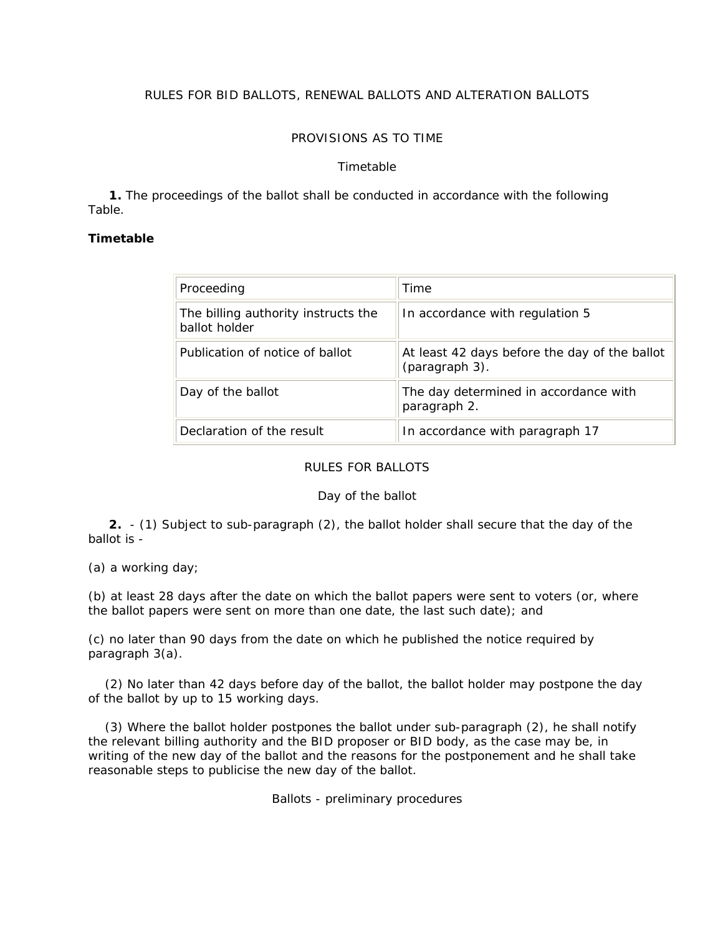# RULES FOR BID BALLOTS, RENEWAL BALLOTS AND ALTERATION BALLOTS

# PROVISIONS AS TO TIME

## *Timetable*

 **1.** The proceedings of the ballot shall be conducted in accordance with the following Table.

# **Timetable**

| Proceeding                                           | Time                                                            |
|------------------------------------------------------|-----------------------------------------------------------------|
| The billing authority instructs the<br>ballot holder | In accordance with regulation 5                                 |
| Publication of notice of ballot                      | At least 42 days before the day of the ballot<br>(paragraph 3). |
| Day of the ballot                                    | The day determined in accordance with<br>paragraph 2.           |
| Declaration of the result                            | In accordance with paragraph 17                                 |

# RULES FOR BALLOTS

## *Day of the ballot*

 **2.** - (1) Subject to sub-paragraph (2), the ballot holder shall secure that the day of the ballot is -

(a) a working day;

(b) at least 28 days after the date on which the ballot papers were sent to voters (or, where the ballot papers were sent on more than one date, the last such date); and

(c) no later than 90 days from the date on which he published the notice required by paragraph 3(a).

 (2) No later than 42 days before day of the ballot, the ballot holder may postpone the day of the ballot by up to 15 working days.

 (3) Where the ballot holder postpones the ballot under sub-paragraph (2), he shall notify the relevant billing authority and the BID proposer or BID body, as the case may be, in writing of the new day of the ballot and the reasons for the postponement and he shall take reasonable steps to publicise the new day of the ballot.

*Ballots - preliminary procedures*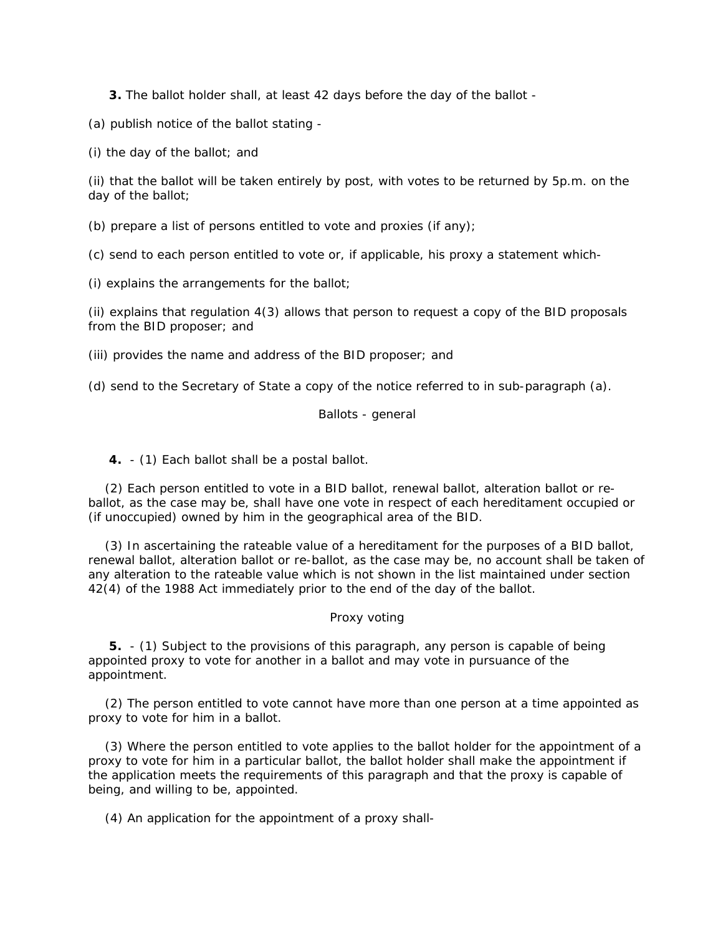**3.** The ballot holder shall, at least 42 days before the day of the ballot -

(a) publish notice of the ballot stating -

(i) the day of the ballot; and

(ii) that the ballot will be taken entirely by post, with votes to be returned by 5p.m. on the day of the ballot;

(b) prepare a list of persons entitled to vote and proxies (if any);

(c) send to each person entitled to vote or, if applicable, his proxy a statement which-

(i) explains the arrangements for the ballot;

(ii) explains that regulation 4(3) allows that person to request a copy of the BID proposals from the BID proposer; and

(iii) provides the name and address of the BID proposer; and

(d) send to the Secretary of State a copy of the notice referred to in sub-paragraph (a).

# *Ballots - general*

**4.** - (1) Each ballot shall be a postal ballot.

 (2) Each person entitled to vote in a BID ballot, renewal ballot, alteration ballot or reballot, as the case may be, shall have one vote in respect of each hereditament occupied or (if unoccupied) owned by him in the geographical area of the BID.

 (3) In ascertaining the rateable value of a hereditament for the purposes of a BID ballot, renewal ballot, alteration ballot or re-ballot, as the case may be, no account shall be taken of any alteration to the rateable value which is not shown in the list maintained under section 42(4) of the 1988 Act immediately prior to the end of the day of the ballot.

# *Proxy voting*

 **5.** - (1) Subject to the provisions of this paragraph, any person is capable of being appointed proxy to vote for another in a ballot and may vote in pursuance of the appointment.

 (2) The person entitled to vote cannot have more than one person at a time appointed as proxy to vote for him in a ballot.

 (3) Where the person entitled to vote applies to the ballot holder for the appointment of a proxy to vote for him in a particular ballot, the ballot holder shall make the appointment if the application meets the requirements of this paragraph and that the proxy is capable of being, and willing to be, appointed.

(4) An application for the appointment of a proxy shall-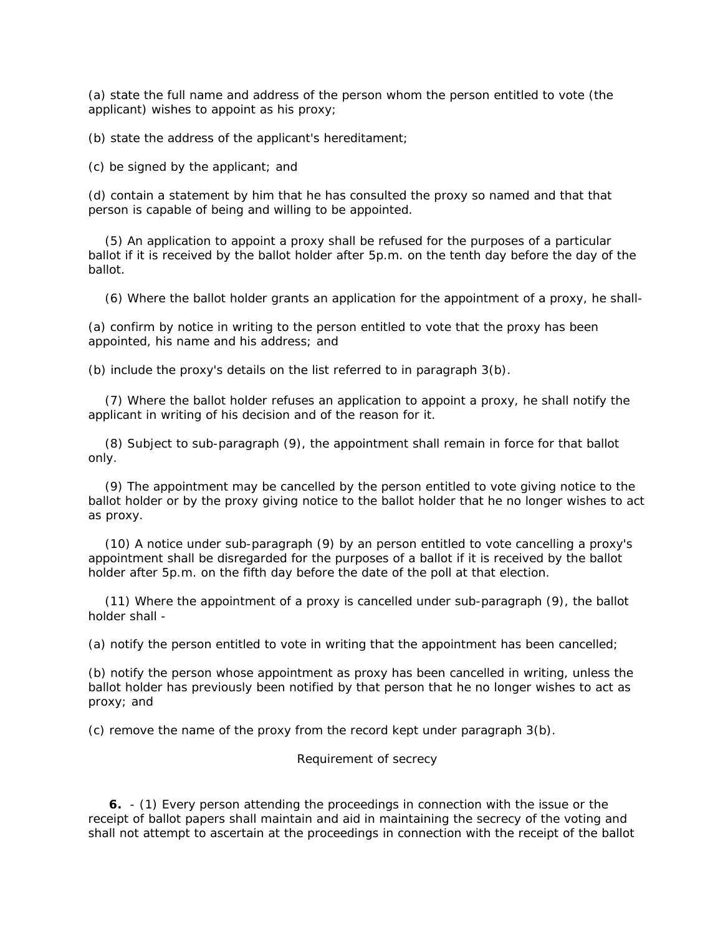(a) state the full name and address of the person whom the person entitled to vote (the applicant) wishes to appoint as his proxy;

(b) state the address of the applicant's hereditament;

(c) be signed by the applicant; and

(d) contain a statement by him that he has consulted the proxy so named and that that person is capable of being and willing to be appointed.

 (5) An application to appoint a proxy shall be refused for the purposes of a particular ballot if it is received by the ballot holder after 5p.m. on the tenth day before the day of the ballot.

(6) Where the ballot holder grants an application for the appointment of a proxy, he shall-

(a) confirm by notice in writing to the person entitled to vote that the proxy has been appointed, his name and his address; and

(b) include the proxy's details on the list referred to in paragraph 3(b).

 (7) Where the ballot holder refuses an application to appoint a proxy, he shall notify the applicant in writing of his decision and of the reason for it.

 (8) Subject to sub-paragraph (9), the appointment shall remain in force for that ballot only.

 (9) The appointment may be cancelled by the person entitled to vote giving notice to the ballot holder or by the proxy giving notice to the ballot holder that he no longer wishes to act as proxy.

 (10) A notice under sub-paragraph (9) by an person entitled to vote cancelling a proxy's appointment shall be disregarded for the purposes of a ballot if it is received by the ballot holder after 5p.m. on the fifth day before the date of the poll at that election.

 (11) Where the appointment of a proxy is cancelled under sub-paragraph (9), the ballot holder shall -

(a) notify the person entitled to vote in writing that the appointment has been cancelled;

(b) notify the person whose appointment as proxy has been cancelled in writing, unless the ballot holder has previously been notified by that person that he no longer wishes to act as proxy; and

(c) remove the name of the proxy from the record kept under paragraph 3(b).

### *Requirement of secrecy*

 **6.** - (1) Every person attending the proceedings in connection with the issue or the receipt of ballot papers shall maintain and aid in maintaining the secrecy of the voting and shall not attempt to ascertain at the proceedings in connection with the receipt of the ballot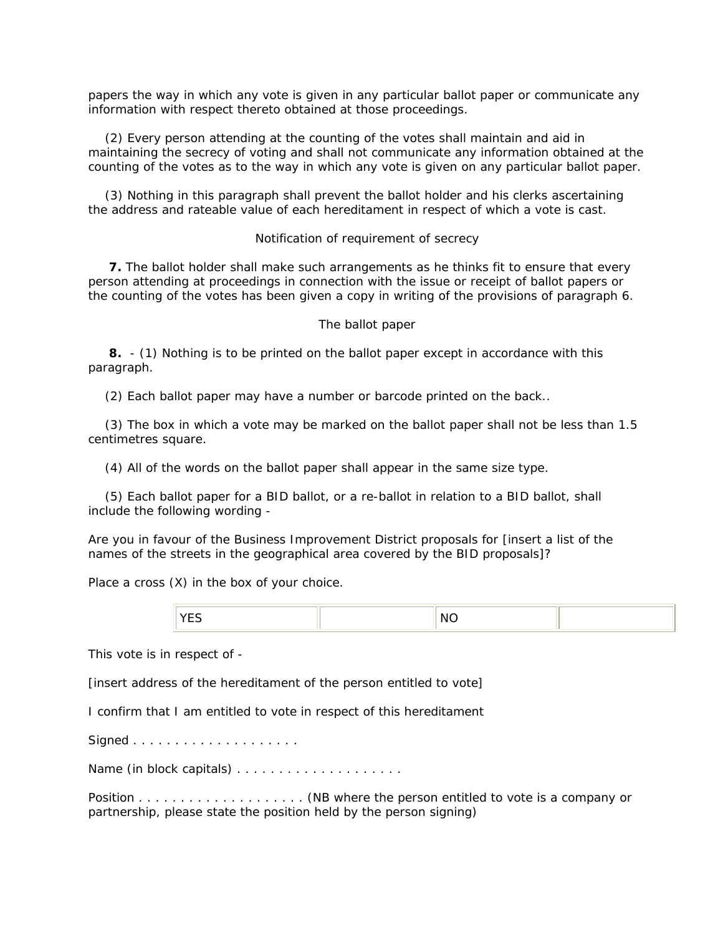papers the way in which any vote is given in any particular ballot paper or communicate any information with respect thereto obtained at those proceedings.

 (2) Every person attending at the counting of the votes shall maintain and aid in maintaining the secrecy of voting and shall not communicate any information obtained at the counting of the votes as to the way in which any vote is given on any particular ballot paper.

 (3) Nothing in this paragraph shall prevent the ballot holder and his clerks ascertaining the address and rateable value of each hereditament in respect of which a vote is cast.

### *Notification of requirement of secrecy*

 **7.** The ballot holder shall make such arrangements as he thinks fit to ensure that every person attending at proceedings in connection with the issue or receipt of ballot papers or the counting of the votes has been given a copy in writing of the provisions of paragraph 6.

### *The ballot paper*

 **8.** - (1) Nothing is to be printed on the ballot paper except in accordance with this paragraph.

(2) Each ballot paper may have a number or barcode printed on the back..

 (3) The box in which a vote may be marked on the ballot paper shall not be less than 1.5 centimetres square.

(4) All of the words on the ballot paper shall appear in the same size type.

 (5) Each ballot paper for a BID ballot, or a re-ballot in relation to a BID ballot, shall include the following wording -

Are you in favour of the Business Improvement District proposals for [*insert a list of the names of the streets in the geographical area covered by the BID proposals*]?

Place a cross (X) in the box of your choice.

| $\sim$ |  |  | n. |  |
|--------|--|--|----|--|
|--------|--|--|----|--|

This vote is in respect of -

[*insert address of the hereditament of the person entitled to vote*]

I confirm that I am entitled to vote in respect of this hereditament

Signed . . . . . . . . . . . . . . . . . . . .

Name (in block capitals) . . . . . . . . . . . . . . . . . . . .

Position . . . . . . . . . . . . . . . . . . . . (NB where the person entitled to vote is a company or partnership, please state the position held by the person signing)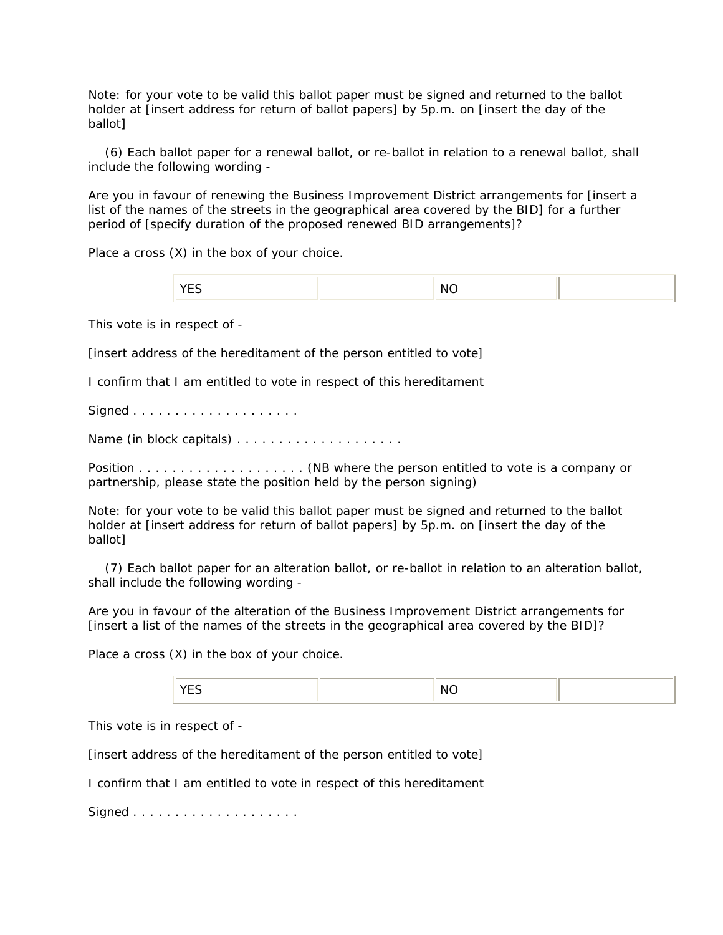Note: for your vote to be valid this ballot paper must be signed and returned to the ballot holder at [*insert address for return of ballot papers*] by 5p.m. on [*insert the day of the ballot*]

 (6) Each ballot paper for a renewal ballot, or re-ballot in relation to a renewal ballot, shall include the following wording -

Are you in favour of renewing the Business Improvement District arrangements for [*insert a list of the names of the streets in the geographical area covered by the BID*] for a further period of [*specify duration of the proposed renewed BID arrangements*]?

Place a cross (X) in the box of your choice.

|  |  | N |  |
|--|--|---|--|
|--|--|---|--|

This vote is in respect of -

[*insert address of the hereditament of the person entitled to vote*]

I confirm that I am entitled to vote in respect of this hereditament

Signed . . . . . . . . . . . . . . . . . . . .

Name (in block capitals) . . . . . . . . . . . . . . . . . . . .

Position . . . . . . . . . . . . . . . . . . . . (NB where the person entitled to vote is a company or partnership, please state the position held by the person signing)

Note: for your vote to be valid this ballot paper must be signed and returned to the ballot holder at [*insert address for return of ballot papers*] by 5p.m. on [*insert the day of the ballot*]

 (7) Each ballot paper for an alteration ballot, or re-ballot in relation to an alteration ballot, shall include the following wording -

Are you in favour of the alteration of the Business Improvement District arrangements for [*insert a list of the names of the streets in the geographical area covered by the BID*]?

Place a cross (X) in the box of your choice.

| NC<br>VEC<br>-- |  |
|-----------------|--|
|-----------------|--|

This vote is in respect of -

[*insert address of the hereditament of the person entitled to vote*]

I confirm that I am entitled to vote in respect of this hereditament

Signed . . . . . . . . . . . . . . . . . . . .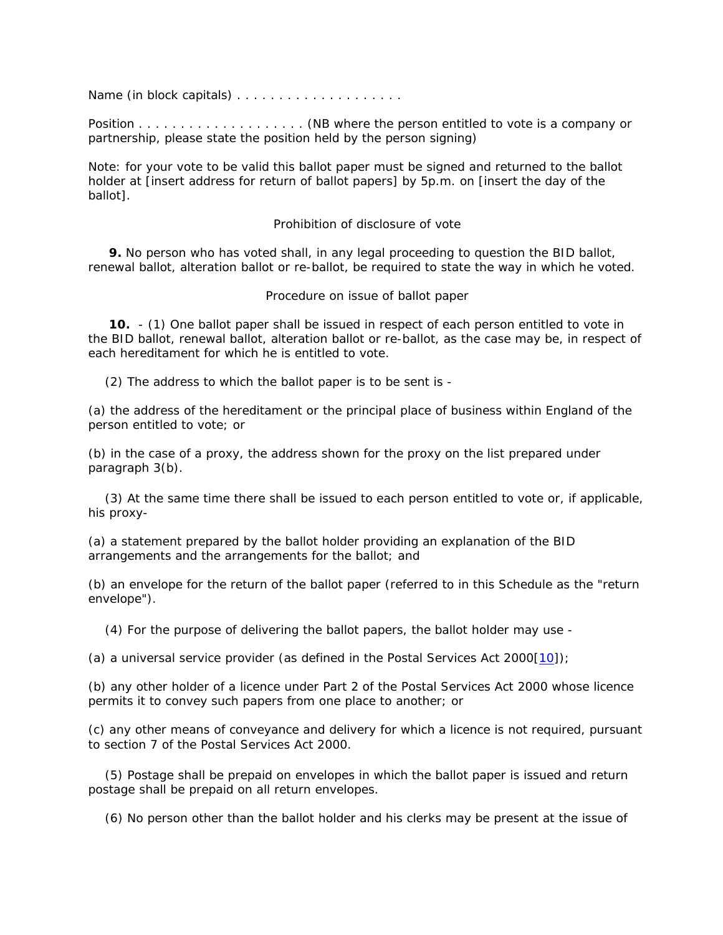Name (in block capitals) . . . . . . . . . . . . . . . . . . . .

Position . . . . . . . . . . . . . . . . . . . . (NB where the person entitled to vote is a company or partnership, please state the position held by the person signing)

Note: for your vote to be valid this ballot paper must be signed and returned to the ballot holder at [*insert address for return of ballot papers*] by 5p.m. on [*insert the day of the ballot*].

## *Prohibition of disclosure of vote*

 **9.** No person who has voted shall, in any legal proceeding to question the BID ballot, renewal ballot, alteration ballot or re-ballot, be required to state the way in which he voted.

## *Procedure on issue of ballot paper*

 **10.** - (1) One ballot paper shall be issued in respect of each person entitled to vote in the BID ballot, renewal ballot, alteration ballot or re-ballot, as the case may be, in respect of each hereditament for which he is entitled to vote.

(2) The address to which the ballot paper is to be sent is -

(a) the address of the hereditament or the principal place of business within England of the person entitled to vote; or

(b) in the case of a proxy, the address shown for the proxy on the list prepared under paragraph 3(b).

 (3) At the same time there shall be issued to each person entitled to vote or, if applicable, his proxy-

(a) a statement prepared by the ballot holder providing an explanation of the BID arrangements and the arrangements for the ballot; and

(b) an envelope for the return of the ballot paper (referred to in this Schedule as the "return envelope").

(4) For the purpose of delivering the ballot papers, the ballot holder may use -

(a) a universal service provider (as defined in the Postal Services Act 2000 $(10)$ ;

(b) any other holder of a licence under Part 2 of the Postal Services Act 2000 whose licence permits it to convey such papers from one place to another; or

(c) any other means of conveyance and delivery for which a licence is not required, pursuant to section 7 of the Postal Services Act 2000.

 (5) Postage shall be prepaid on envelopes in which the ballot paper is issued and return postage shall be prepaid on all return envelopes.

(6) No person other than the ballot holder and his clerks may be present at the issue of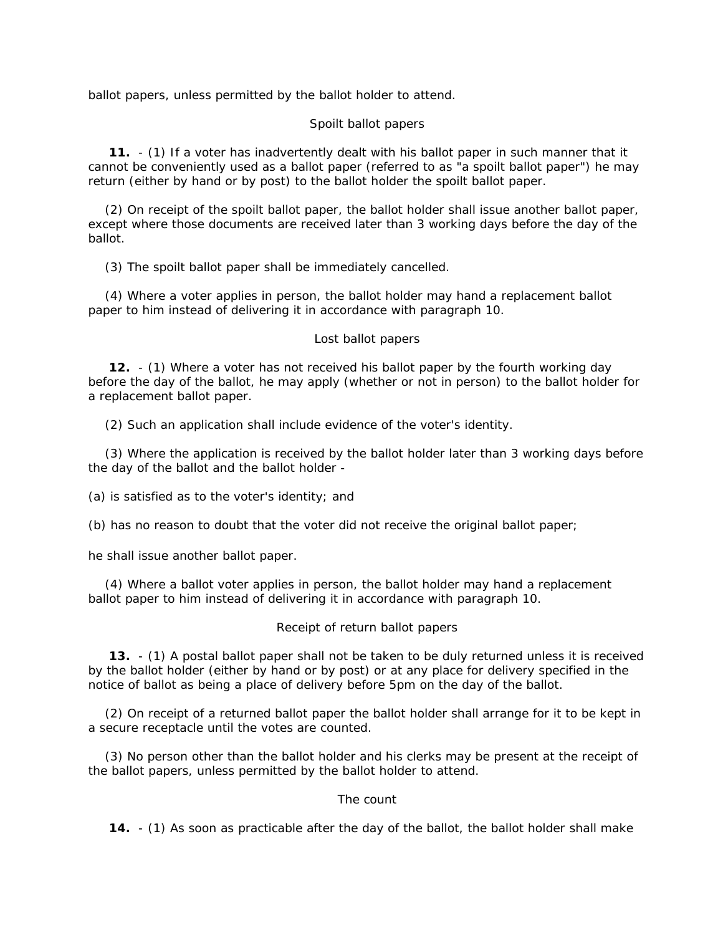ballot papers, unless permitted by the ballot holder to attend.

## *Spoilt ballot papers*

 **11.** - (1) If a voter has inadvertently dealt with his ballot paper in such manner that it cannot be conveniently used as a ballot paper (referred to as "a spoilt ballot paper") he may return (either by hand or by post) to the ballot holder the spoilt ballot paper.

 (2) On receipt of the spoilt ballot paper, the ballot holder shall issue another ballot paper, except where those documents are received later than 3 working days before the day of the ballot.

(3) The spoilt ballot paper shall be immediately cancelled.

 (4) Where a voter applies in person, the ballot holder may hand a replacement ballot paper to him instead of delivering it in accordance with paragraph 10.

## *Lost ballot papers*

 **12.** - (1) Where a voter has not received his ballot paper by the fourth working day before the day of the ballot, he may apply (whether or not in person) to the ballot holder for a replacement ballot paper.

(2) Such an application shall include evidence of the voter's identity.

 (3) Where the application is received by the ballot holder later than 3 working days before the day of the ballot and the ballot holder -

(a) is satisfied as to the voter's identity; and

(b) has no reason to doubt that the voter did not receive the original ballot paper;

he shall issue another ballot paper.

 (4) Where a ballot voter applies in person, the ballot holder may hand a replacement ballot paper to him instead of delivering it in accordance with paragraph 10.

## *Receipt of return ballot papers*

 **13.** - (1) A postal ballot paper shall not be taken to be duly returned unless it is received by the ballot holder (either by hand or by post) or at any place for delivery specified in the notice of ballot as being a place of delivery before 5pm on the day of the ballot.

 (2) On receipt of a returned ballot paper the ballot holder shall arrange for it to be kept in a secure receptacle until the votes are counted.

 (3) No person other than the ballot holder and his clerks may be present at the receipt of the ballot papers, unless permitted by the ballot holder to attend.

# *The count*

**14.** - (1) As soon as practicable after the day of the ballot, the ballot holder shall make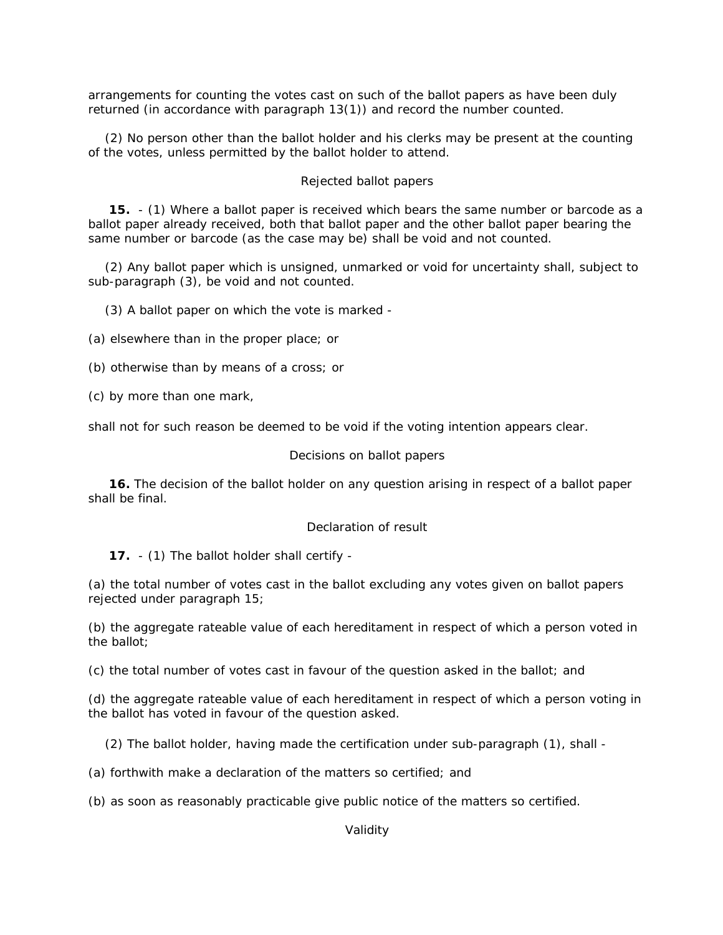arrangements for counting the votes cast on such of the ballot papers as have been duly returned (in accordance with paragraph 13(1)) and record the number counted.

 (2) No person other than the ballot holder and his clerks may be present at the counting of the votes, unless permitted by the ballot holder to attend.

### *Rejected ballot papers*

 **15.** - (1) Where a ballot paper is received which bears the same number or barcode as a ballot paper already received, both that ballot paper and the other ballot paper bearing the same number or barcode (as the case may be) shall be void and not counted.

 (2) Any ballot paper which is unsigned, unmarked or void for uncertainty shall, subject to sub-paragraph (3), be void and not counted.

(3) A ballot paper on which the vote is marked -

(a) elsewhere than in the proper place; or

(b) otherwise than by means of a cross; or

(c) by more than one mark,

shall not for such reason be deemed to be void if the voting intention appears clear.

#### *Decisions on ballot papers*

 **16.** The decision of the ballot holder on any question arising in respect of a ballot paper shall be final.

### *Declaration of result*

**17.** - (1) The ballot holder shall certify -

(a) the total number of votes cast in the ballot excluding any votes given on ballot papers rejected under paragraph 15;

(b) the aggregate rateable value of each hereditament in respect of which a person voted in the ballot;

(c) the total number of votes cast in favour of the question asked in the ballot; and

(d) the aggregate rateable value of each hereditament in respect of which a person voting in the ballot has voted in favour of the question asked.

(2) The ballot holder, having made the certification under sub-paragraph (1), shall -

(a) forthwith make a declaration of the matters so certified; and

(b) as soon as reasonably practicable give public notice of the matters so certified.

*Validity*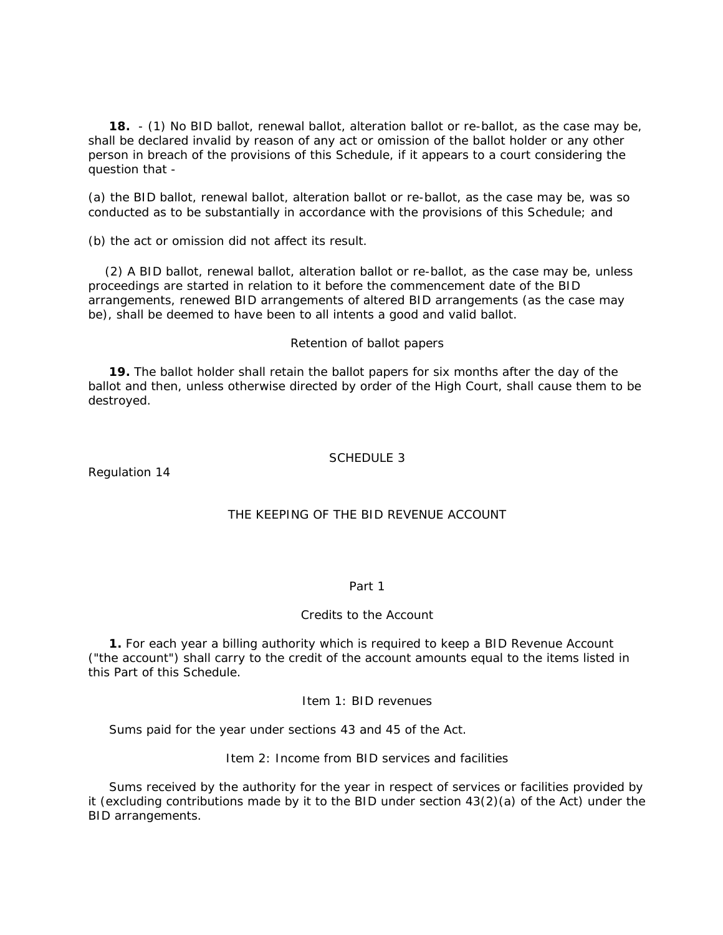**18.** - (1) No BID ballot, renewal ballot, alteration ballot or re-ballot, as the case may be, shall be declared invalid by reason of any act or omission of the ballot holder or any other person in breach of the provisions of this Schedule, if it appears to a court considering the question that -

(a) the BID ballot, renewal ballot, alteration ballot or re-ballot, as the case may be, was so conducted as to be substantially in accordance with the provisions of this Schedule; and

(b) the act or omission did not affect its result.

 (2) A BID ballot, renewal ballot, alteration ballot or re-ballot, as the case may be, unless proceedings are started in relation to it before the commencement date of the BID arrangements, renewed BID arrangements of altered BID arrangements (as the case may be), shall be deemed to have been to all intents a good and valid ballot.

### *Retention of ballot papers*

 **19.** The ballot holder shall retain the ballot papers for six months after the day of the ballot and then, unless otherwise directed by order of the High Court, shall cause them to be destroyed.

## SCHEDULE 3

Regulation 14

## THE KEEPING OF THE BID REVENUE ACCOUNT

#### Part 1

## Credits to the Account

 **1.** For each year a billing authority which is required to keep a BID Revenue Account ("the account") shall carry to the credit of the account amounts equal to the items listed in this Part of this Schedule.

## *Item 1: BID revenues*

Sums paid for the year under sections 43 and 45 of the Act.

### *Item 2: Income from BID services and facilities*

 Sums received by the authority for the year in respect of services or facilities provided by it (excluding contributions made by it to the BID under section 43(2)(a) of the Act) under the BID arrangements.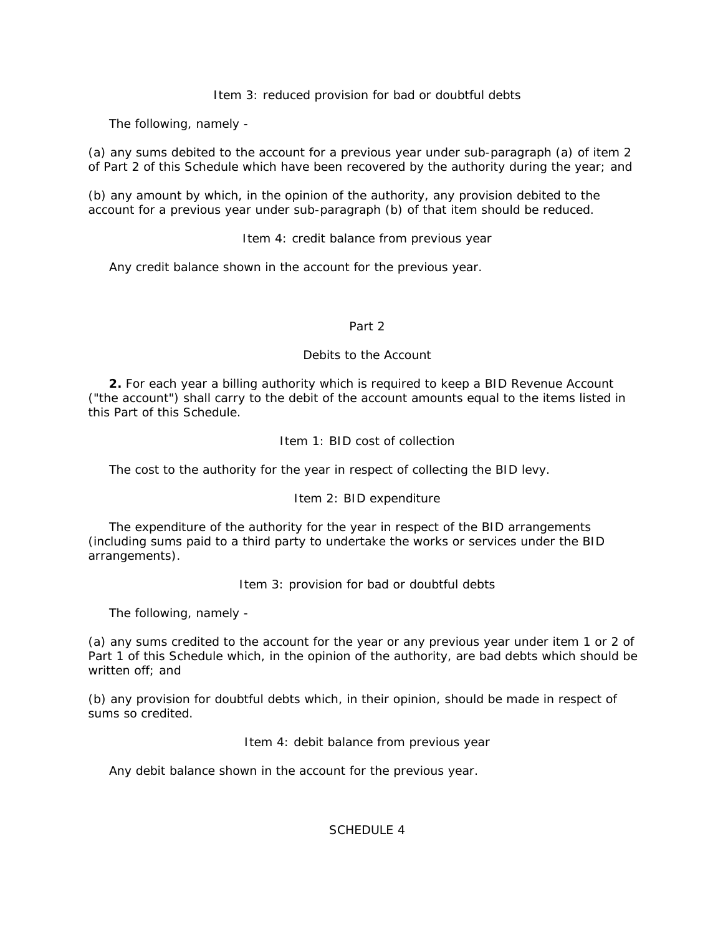*Item 3: reduced provision for bad or doubtful debts*

The following, namely -

(a) any sums debited to the account for a previous year under sub-paragraph (a) of item 2 of Part 2 of this Schedule which have been recovered by the authority during the year; and

(b) any amount by which, in the opinion of the authority, any provision debited to the account for a previous year under sub-paragraph (b) of that item should be reduced.

## *Item 4: credit balance from previous year*

Any credit balance shown in the account for the previous year.

## Part 2

## Debits to the Account

 **2.** For each year a billing authority which is required to keep a BID Revenue Account ("the account") shall carry to the debit of the account amounts equal to the items listed in this Part of this Schedule.

# *Item 1: BID cost of collection*

The cost to the authority for the year in respect of collecting the BID levy.

# *Item 2: BID expenditure*

 The expenditure of the authority for the year in respect of the BID arrangements (including sums paid to a third party to undertake the works or services under the BID arrangements).

## *Item 3: provision for bad or doubtful debts*

The following, namely -

(a) any sums credited to the account for the year or any previous year under item 1 or 2 of Part 1 of this Schedule which, in the opinion of the authority, are bad debts which should be written off; and

(b) any provision for doubtful debts which, in their opinion, should be made in respect of sums so credited.

## *Item 4: debit balance from previous year*

Any debit balance shown in the account for the previous year.

SCHEDULE 4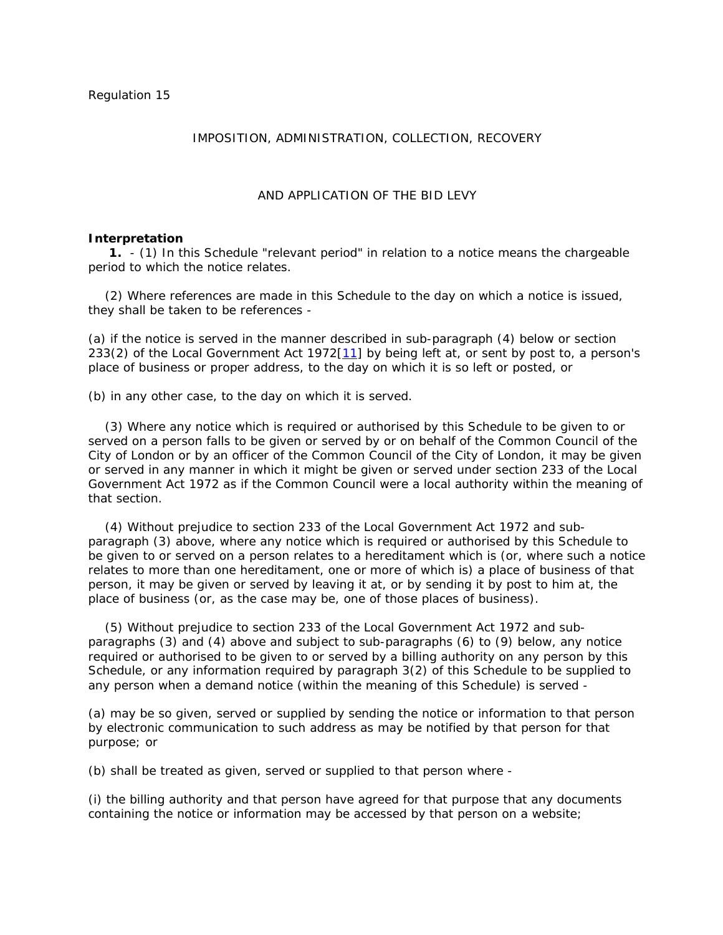# IMPOSITION, ADMINISTRATION, COLLECTION, RECOVERY

### AND APPLICATION OF THE BID LEVY

#### *Interpretation*

 **1.** - (1) In this Schedule "relevant period" in relation to a notice means the chargeable period to which the notice relates.

 (2) Where references are made in this Schedule to the day on which a notice is issued, they shall be taken to be references -

(a) if the notice is served in the manner described in sub-paragraph (4) below or section 233(2) of the Local Government Act 1972[11] by being left at, or sent by post to, a person's place of business or proper address, to the day on which it is so left or posted, or

(b) in any other case, to the day on which it is served.

 (3) Where any notice which is required or authorised by this Schedule to be given to or served on a person falls to be given or served by or on behalf of the Common Council of the City of London or by an officer of the Common Council of the City of London, it may be given or served in any manner in which it might be given or served under section 233 of the Local Government Act 1972 as if the Common Council were a local authority within the meaning of that section.

 (4) Without prejudice to section 233 of the Local Government Act 1972 and subparagraph (3) above, where any notice which is required or authorised by this Schedule to be given to or served on a person relates to a hereditament which is (or, where such a notice relates to more than one hereditament, one or more of which is) a place of business of that person, it may be given or served by leaving it at, or by sending it by post to him at, the place of business (or, as the case may be, one of those places of business).

 (5) Without prejudice to section 233 of the Local Government Act 1972 and subparagraphs (3) and (4) above and subject to sub-paragraphs (6) to (9) below, any notice required or authorised to be given to or served by a billing authority on any person by this Schedule, or any information required by paragraph 3(2) of this Schedule to be supplied to any person when a demand notice (within the meaning of this Schedule) is served -

(a) may be so given, served or supplied by sending the notice or information to that person by electronic communication to such address as may be notified by that person for that purpose; or

(b) shall be treated as given, served or supplied to that person where -

(i) the billing authority and that person have agreed for that purpose that any documents containing the notice or information may be accessed by that person on a website;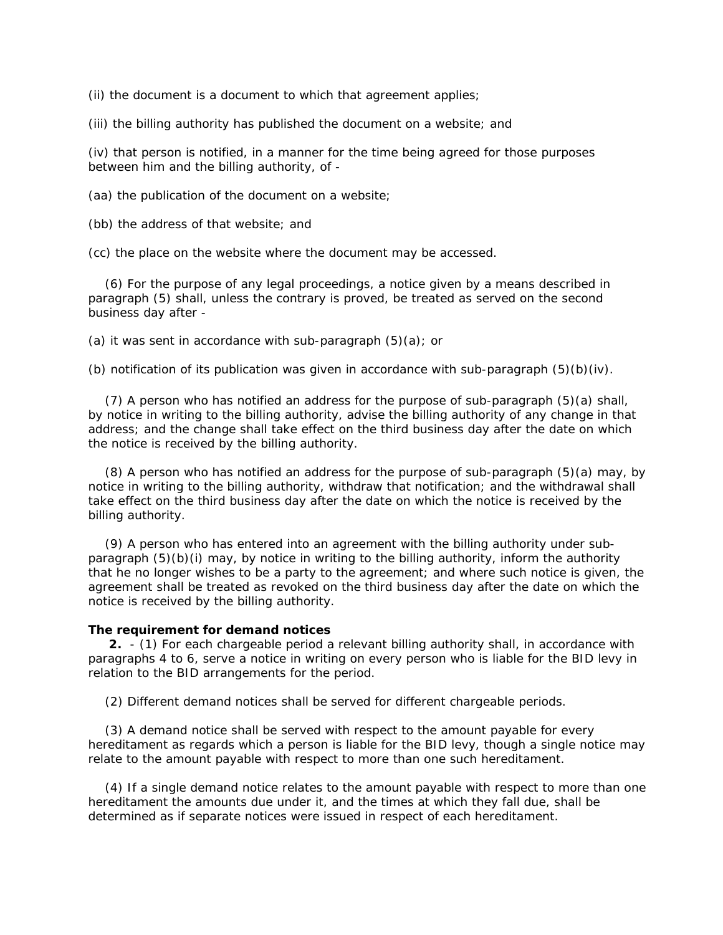(ii) the document is a document to which that agreement applies;

(iii) the billing authority has published the document on a website; and

(iv) that person is notified, in a manner for the time being agreed for those purposes between him and the billing authority, of -

(aa) the publication of the document on a website;

(bb) the address of that website; and

(cc) the place on the website where the document may be accessed.

 (6) For the purpose of any legal proceedings, a notice given by a means described in paragraph (5) shall, unless the contrary is proved, be treated as served on the second business day after -

(a) it was sent in accordance with sub-paragraph  $(5)(a)$ ; or

(b) notification of its publication was given in accordance with sub-paragraph  $(5)(b)(iv)$ .

 (7) A person who has notified an address for the purpose of sub-paragraph (5)(a) shall, by notice in writing to the billing authority, advise the billing authority of any change in that address; and the change shall take effect on the third business day after the date on which the notice is received by the billing authority.

 (8) A person who has notified an address for the purpose of sub-paragraph (5)(a) may, by notice in writing to the billing authority, withdraw that notification; and the withdrawal shall take effect on the third business day after the date on which the notice is received by the billing authority.

 (9) A person who has entered into an agreement with the billing authority under subparagraph (5)(b)(i) may, by notice in writing to the billing authority, inform the authority that he no longer wishes to be a party to the agreement; and where such notice is given, the agreement shall be treated as revoked on the third business day after the date on which the notice is received by the billing authority.

### *The requirement for demand notices*

 **2.** - (1) For each chargeable period a relevant billing authority shall, in accordance with paragraphs 4 to 6, serve a notice in writing on every person who is liable for the BID levy in relation to the BID arrangements for the period.

(2) Different demand notices shall be served for different chargeable periods.

 (3) A demand notice shall be served with respect to the amount payable for every hereditament as regards which a person is liable for the BID levy, though a single notice may relate to the amount payable with respect to more than one such hereditament.

 (4) If a single demand notice relates to the amount payable with respect to more than one hereditament the amounts due under it, and the times at which they fall due, shall be determined as if separate notices were issued in respect of each hereditament.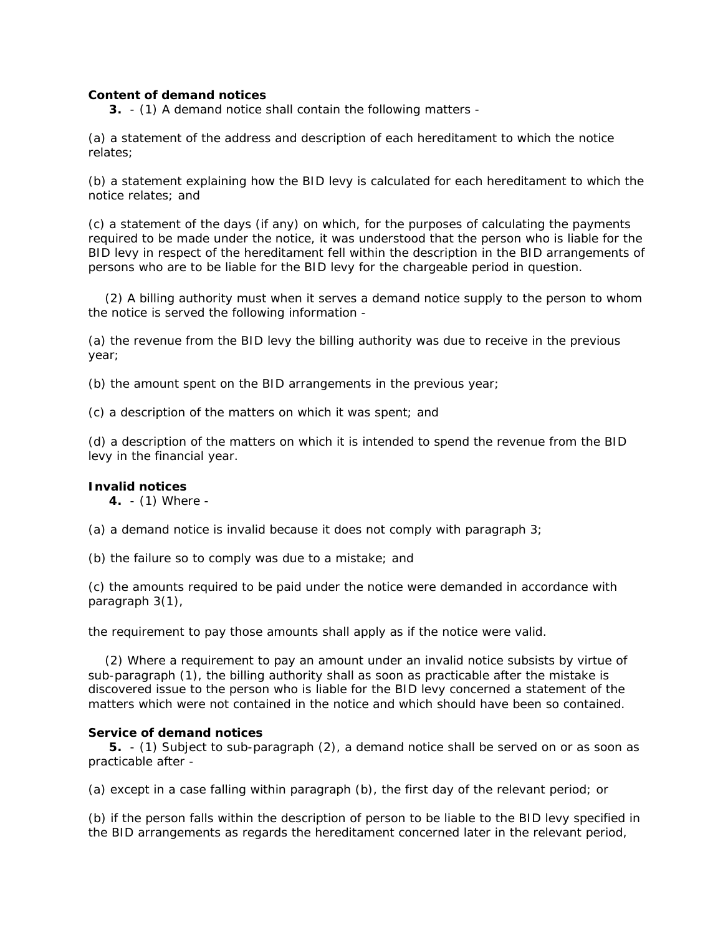# *Content of demand notices*

**3.** - (1) A demand notice shall contain the following matters -

(a) a statement of the address and description of each hereditament to which the notice relates;

(b) a statement explaining how the BID levy is calculated for each hereditament to which the notice relates; and

(c) a statement of the days (if any) on which, for the purposes of calculating the payments required to be made under the notice, it was understood that the person who is liable for the BID levy in respect of the hereditament fell within the description in the BID arrangements of persons who are to be liable for the BID levy for the chargeable period in question.

 (2) A billing authority must when it serves a demand notice supply to the person to whom the notice is served the following information -

(a) the revenue from the BID levy the billing authority was due to receive in the previous year;

(b) the amount spent on the BID arrangements in the previous year;

(c) a description of the matters on which it was spent; and

(d) a description of the matters on which it is intended to spend the revenue from the BID levy in the financial year.

# *Invalid notices*

**4.** - (1) Where -

(a) a demand notice is invalid because it does not comply with paragraph 3;

(b) the failure so to comply was due to a mistake; and

(c) the amounts required to be paid under the notice were demanded in accordance with paragraph 3(1),

the requirement to pay those amounts shall apply as if the notice were valid.

 (2) Where a requirement to pay an amount under an invalid notice subsists by virtue of sub-paragraph (1), the billing authority shall as soon as practicable after the mistake is discovered issue to the person who is liable for the BID levy concerned a statement of the matters which were not contained in the notice and which should have been so contained.

# *Service of demand notices*

 **5.** - (1) Subject to sub-paragraph (2), a demand notice shall be served on or as soon as practicable after -

(a) except in a case falling within paragraph (b), the first day of the relevant period; or

(b) if the person falls within the description of person to be liable to the BID levy specified in the BID arrangements as regards the hereditament concerned later in the relevant period,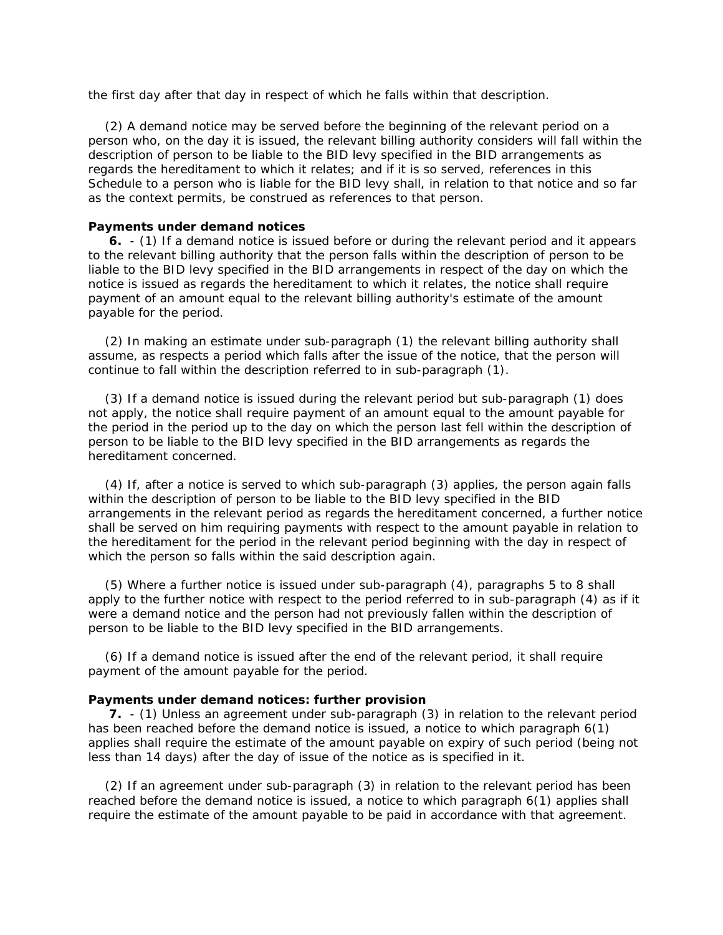the first day after that day in respect of which he falls within that description.

 (2) A demand notice may be served before the beginning of the relevant period on a person who, on the day it is issued, the relevant billing authority considers will fall within the description of person to be liable to the BID levy specified in the BID arrangements as regards the hereditament to which it relates; and if it is so served, references in this Schedule to a person who is liable for the BID levy shall, in relation to that notice and so far as the context permits, be construed as references to that person.

### *Payments under demand notices*

 **6.** - (1) If a demand notice is issued before or during the relevant period and it appears to the relevant billing authority that the person falls within the description of person to be liable to the BID levy specified in the BID arrangements in respect of the day on which the notice is issued as regards the hereditament to which it relates, the notice shall require payment of an amount equal to the relevant billing authority's estimate of the amount payable for the period.

 (2) In making an estimate under sub-paragraph (1) the relevant billing authority shall assume, as respects a period which falls after the issue of the notice, that the person will continue to fall within the description referred to in sub-paragraph (1).

 (3) If a demand notice is issued during the relevant period but sub-paragraph (1) does not apply, the notice shall require payment of an amount equal to the amount payable for the period in the period up to the day on which the person last fell within the description of person to be liable to the BID levy specified in the BID arrangements as regards the hereditament concerned.

 (4) If, after a notice is served to which sub-paragraph (3) applies, the person again falls within the description of person to be liable to the BID levy specified in the BID arrangements in the relevant period as regards the hereditament concerned, a further notice shall be served on him requiring payments with respect to the amount payable in relation to the hereditament for the period in the relevant period beginning with the day in respect of which the person so falls within the said description again.

 (5) Where a further notice is issued under sub-paragraph (4), paragraphs 5 to 8 shall apply to the further notice with respect to the period referred to in sub-paragraph (4) as if it were a demand notice and the person had not previously fallen within the description of person to be liable to the BID levy specified in the BID arrangements.

 (6) If a demand notice is issued after the end of the relevant period, it shall require payment of the amount payable for the period.

### *Payments under demand notices: further provision*

 **7.** - (1) Unless an agreement under sub-paragraph (3) in relation to the relevant period has been reached before the demand notice is issued, a notice to which paragraph 6(1) applies shall require the estimate of the amount payable on expiry of such period (being not less than 14 days) after the day of issue of the notice as is specified in it.

 (2) If an agreement under sub-paragraph (3) in relation to the relevant period has been reached before the demand notice is issued, a notice to which paragraph 6(1) applies shall require the estimate of the amount payable to be paid in accordance with that agreement.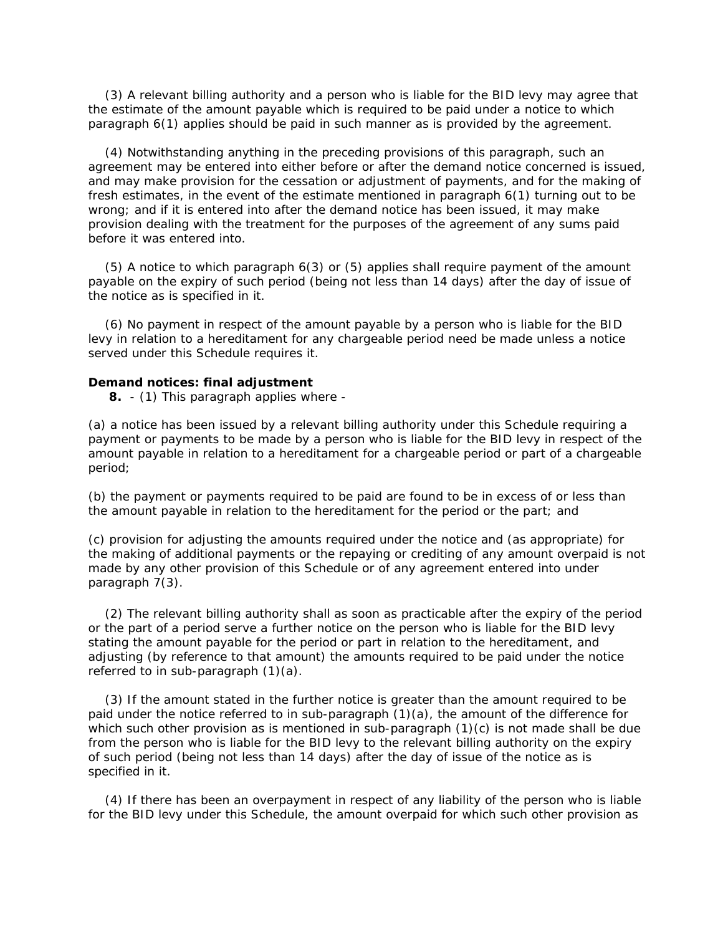(3) A relevant billing authority and a person who is liable for the BID levy may agree that the estimate of the amount payable which is required to be paid under a notice to which paragraph 6(1) applies should be paid in such manner as is provided by the agreement.

 (4) Notwithstanding anything in the preceding provisions of this paragraph, such an agreement may be entered into either before or after the demand notice concerned is issued, and may make provision for the cessation or adjustment of payments, and for the making of fresh estimates, in the event of the estimate mentioned in paragraph 6(1) turning out to be wrong; and if it is entered into after the demand notice has been issued, it may make provision dealing with the treatment for the purposes of the agreement of any sums paid before it was entered into.

 (5) A notice to which paragraph 6(3) or (5) applies shall require payment of the amount payable on the expiry of such period (being not less than 14 days) after the day of issue of the notice as is specified in it.

 (6) No payment in respect of the amount payable by a person who is liable for the BID levy in relation to a hereditament for any chargeable period need be made unless a notice served under this Schedule requires it.

### *Demand notices: final adjustment*

**8.** - (1) This paragraph applies where -

(a) a notice has been issued by a relevant billing authority under this Schedule requiring a payment or payments to be made by a person who is liable for the BID levy in respect of the amount payable in relation to a hereditament for a chargeable period or part of a chargeable period;

(b) the payment or payments required to be paid are found to be in excess of or less than the amount payable in relation to the hereditament for the period or the part; and

(c) provision for adjusting the amounts required under the notice and (as appropriate) for the making of additional payments or the repaying or crediting of any amount overpaid is not made by any other provision of this Schedule or of any agreement entered into under paragraph 7(3).

 (2) The relevant billing authority shall as soon as practicable after the expiry of the period or the part of a period serve a further notice on the person who is liable for the BID levy stating the amount payable for the period or part in relation to the hereditament, and adjusting (by reference to that amount) the amounts required to be paid under the notice referred to in sub-paragraph (1)(a).

 (3) If the amount stated in the further notice is greater than the amount required to be paid under the notice referred to in sub-paragraph (1)(a), the amount of the difference for which such other provision as is mentioned in sub-paragraph (1)(c) is not made shall be due from the person who is liable for the BID levy to the relevant billing authority on the expiry of such period (being not less than 14 days) after the day of issue of the notice as is specified in it.

 (4) If there has been an overpayment in respect of any liability of the person who is liable for the BID levy under this Schedule, the amount overpaid for which such other provision as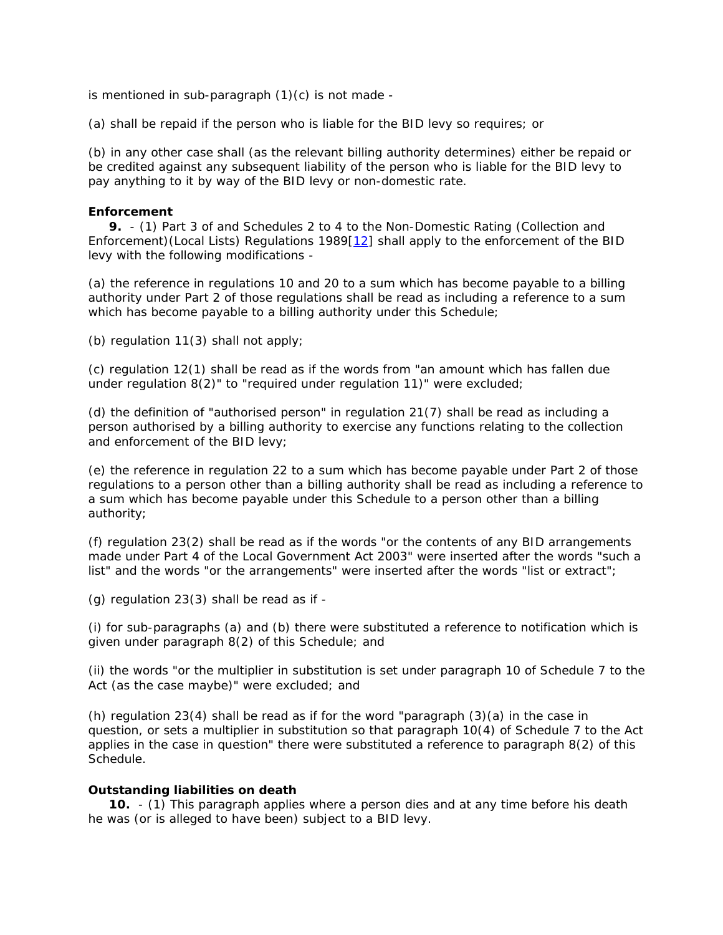is mentioned in sub-paragraph (1)(c) is not made -

(a) shall be repaid if the person who is liable for the BID levy so requires; or

(b) in any other case shall (as the relevant billing authority determines) either be repaid or be credited against any subsequent liability of the person who is liable for the BID levy to pay anything to it by way of the BID levy or non-domestic rate.

## *Enforcement*

 **9.** - (1) Part 3 of and Schedules 2 to 4 to the Non-Domestic Rating (Collection and Enforcement)(Local Lists) Regulations 1989[12] shall apply to the enforcement of the BID levy with the following modifications -

(a) the reference in regulations 10 and 20 to a sum which has become payable to a billing authority under Part 2 of those regulations shall be read as including a reference to a sum which has become payable to a billing authority under this Schedule;

(b) regulation 11(3) shall not apply;

(c) regulation 12(1) shall be read as if the words from "an amount which has fallen due under regulation 8(2)" to "required under regulation 11)" were excluded;

(d) the definition of "authorised person" in regulation 21(7) shall be read as including a person authorised by a billing authority to exercise any functions relating to the collection and enforcement of the BID levy;

(e) the reference in regulation 22 to a sum which has become payable under Part 2 of those regulations to a person other than a billing authority shall be read as including a reference to a sum which has become payable under this Schedule to a person other than a billing authority;

(f) regulation 23(2) shall be read as if the words "or the contents of any BID arrangements made under Part 4 of the Local Government Act 2003" were inserted after the words "such a list" and the words "or the arrangements" were inserted after the words "list or extract";

(g) regulation 23(3) shall be read as if -

(i) for sub-paragraphs (a) and (b) there were substituted a reference to notification which is given under paragraph 8(2) of this Schedule; and

(ii) the words "or the multiplier in substitution is set under paragraph 10 of Schedule 7 to the Act (as the case maybe)" were excluded; and

(h) regulation 23(4) shall be read as if for the word "paragraph  $(3)(a)$  in the case in question, or sets a multiplier in substitution so that paragraph 10(4) of Schedule 7 to the Act applies in the case in question" there were substituted a reference to paragraph 8(2) of this Schedule.

## *Outstanding liabilities on death*

 **10.** - (1) This paragraph applies where a person dies and at any time before his death he was (or is alleged to have been) subject to a BID levy.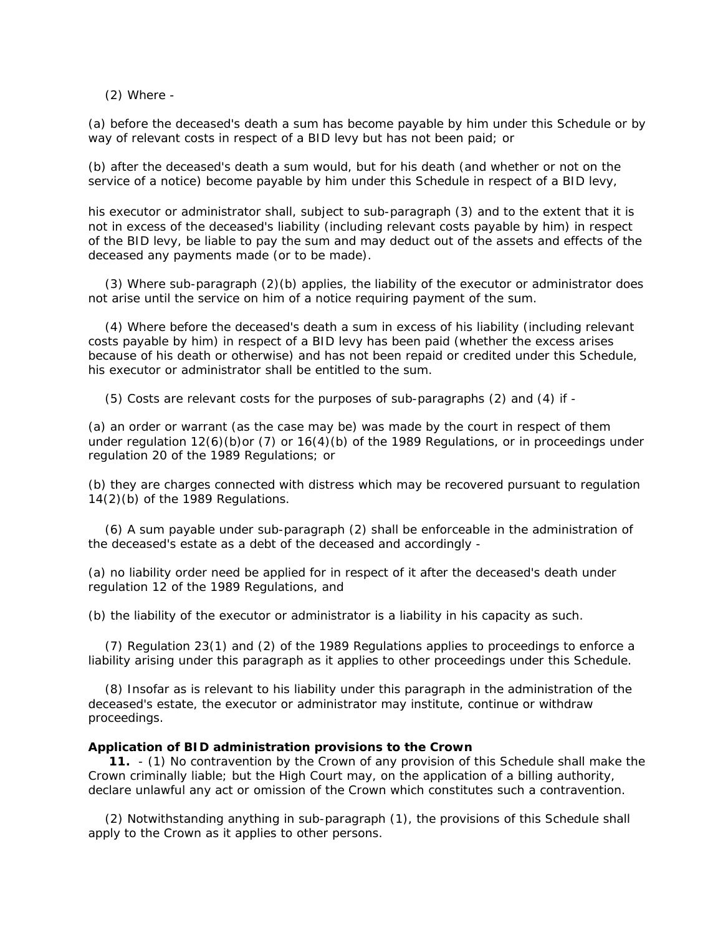(2) Where -

(a) before the deceased's death a sum has become payable by him under this Schedule or by way of relevant costs in respect of a BID levy but has not been paid; or

(b) after the deceased's death a sum would, but for his death (and whether or not on the service of a notice) become payable by him under this Schedule in respect of a BID levy,

his executor or administrator shall, subject to sub-paragraph (3) and to the extent that it is not in excess of the deceased's liability (including relevant costs payable by him) in respect of the BID levy, be liable to pay the sum and may deduct out of the assets and effects of the deceased any payments made (or to be made).

 (3) Where sub-paragraph (2)(b) applies, the liability of the executor or administrator does not arise until the service on him of a notice requiring payment of the sum.

 (4) Where before the deceased's death a sum in excess of his liability (including relevant costs payable by him) in respect of a BID levy has been paid (whether the excess arises because of his death or otherwise) and has not been repaid or credited under this Schedule, his executor or administrator shall be entitled to the sum.

(5) Costs are relevant costs for the purposes of sub-paragraphs (2) and (4) if -

(a) an order or warrant (as the case may be) was made by the court in respect of them under regulation 12(6)(b)or (7) or 16(4)(b) of the 1989 Regulations, or in proceedings under regulation 20 of the 1989 Regulations; or

(b) they are charges connected with distress which may be recovered pursuant to regulation 14(2)(b) of the 1989 Regulations.

 (6) A sum payable under sub-paragraph (2) shall be enforceable in the administration of the deceased's estate as a debt of the deceased and accordingly -

(a) no liability order need be applied for in respect of it after the deceased's death under regulation 12 of the 1989 Regulations, and

(b) the liability of the executor or administrator is a liability in his capacity as such.

 (7) Regulation 23(1) and (2) of the 1989 Regulations applies to proceedings to enforce a liability arising under this paragraph as it applies to other proceedings under this Schedule.

 (8) Insofar as is relevant to his liability under this paragraph in the administration of the deceased's estate, the executor or administrator may institute, continue or withdraw proceedings.

### *Application of BID administration provisions to the Crown*

 **11.** - (1) No contravention by the Crown of any provision of this Schedule shall make the Crown criminally liable; but the High Court may, on the application of a billing authority, declare unlawful any act or omission of the Crown which constitutes such a contravention.

 (2) Notwithstanding anything in sub-paragraph (1), the provisions of this Schedule shall apply to the Crown as it applies to other persons.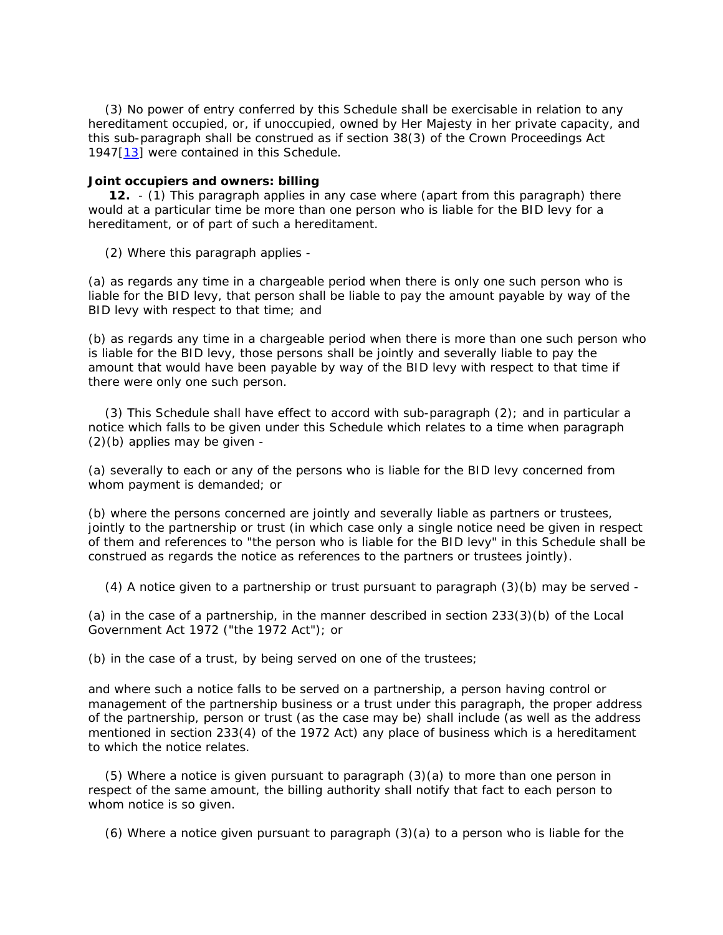(3) No power of entry conferred by this Schedule shall be exercisable in relation to any hereditament occupied, or, if unoccupied, owned by Her Majesty in her private capacity, and this sub-paragraph shall be construed as if section 38(3) of the Crown Proceedings Act 1947[13] were contained in this Schedule.

## *Joint occupiers and owners: billing*

 **12.** - (1) This paragraph applies in any case where (apart from this paragraph) there would at a particular time be more than one person who is liable for the BID levy for a hereditament, or of part of such a hereditament.

(2) Where this paragraph applies -

(a) as regards any time in a chargeable period when there is only one such person who is liable for the BID levy, that person shall be liable to pay the amount payable by way of the BID levy with respect to that time; and

(b) as regards any time in a chargeable period when there is more than one such person who is liable for the BID levy, those persons shall be jointly and severally liable to pay the amount that would have been payable by way of the BID levy with respect to that time if there were only one such person.

 (3) This Schedule shall have effect to accord with sub-paragraph (2); and in particular a notice which falls to be given under this Schedule which relates to a time when paragraph (2)(b) applies may be given -

(a) severally to each or any of the persons who is liable for the BID levy concerned from whom payment is demanded; or

(b) where the persons concerned are jointly and severally liable as partners or trustees, jointly to the partnership or trust (in which case only a single notice need be given in respect of them and references to "the person who is liable for the BID levy" in this Schedule shall be construed as regards the notice as references to the partners or trustees jointly).

(4) A notice given to a partnership or trust pursuant to paragraph (3)(b) may be served -

(a) in the case of a partnership, in the manner described in section 233(3)(b) of the Local Government Act 1972 ("the 1972 Act"); or

(b) in the case of a trust, by being served on one of the trustees;

and where such a notice falls to be served on a partnership, a person having control or management of the partnership business or a trust under this paragraph, the proper address of the partnership, person or trust (as the case may be) shall include (as well as the address mentioned in section 233(4) of the 1972 Act) any place of business which is a hereditament to which the notice relates.

 (5) Where a notice is given pursuant to paragraph (3)(a) to more than one person in respect of the same amount, the billing authority shall notify that fact to each person to whom notice is so given.

 $(6)$  Where a notice given pursuant to paragraph  $(3)(a)$  to a person who is liable for the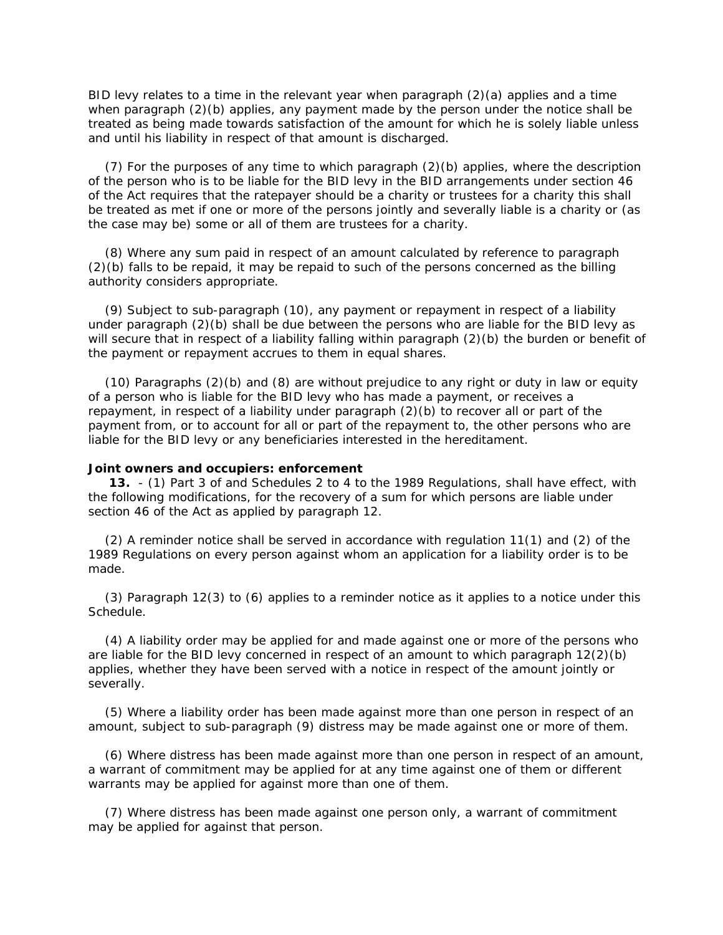BID levy relates to a time in the relevant year when paragraph  $(2)(a)$  applies and a time when paragraph (2)(b) applies, any payment made by the person under the notice shall be treated as being made towards satisfaction of the amount for which he is solely liable unless and until his liability in respect of that amount is discharged.

 (7) For the purposes of any time to which paragraph (2)(b) applies, where the description of the person who is to be liable for the BID levy in the BID arrangements under section 46 of the Act requires that the ratepayer should be a charity or trustees for a charity this shall be treated as met if one or more of the persons jointly and severally liable is a charity or (as the case may be) some or all of them are trustees for a charity.

 (8) Where any sum paid in respect of an amount calculated by reference to paragraph (2)(b) falls to be repaid, it may be repaid to such of the persons concerned as the billing authority considers appropriate.

 (9) Subject to sub-paragraph (10), any payment or repayment in respect of a liability under paragraph (2)(b) shall be due between the persons who are liable for the BID levy as will secure that in respect of a liability falling within paragraph (2)(b) the burden or benefit of the payment or repayment accrues to them in equal shares.

 (10) Paragraphs (2)(b) and (8) are without prejudice to any right or duty in law or equity of a person who is liable for the BID levy who has made a payment, or receives a repayment, in respect of a liability under paragraph (2)(b) to recover all or part of the payment from, or to account for all or part of the repayment to, the other persons who are liable for the BID levy or any beneficiaries interested in the hereditament.

## *Joint owners and occupiers: enforcement*

 **13.** - (1) Part 3 of and Schedules 2 to 4 to the 1989 Regulations, shall have effect, with the following modifications, for the recovery of a sum for which persons are liable under section 46 of the Act as applied by paragraph 12.

 (2) A reminder notice shall be served in accordance with regulation 11(1) and (2) of the 1989 Regulations on every person against whom an application for a liability order is to be made.

 (3) Paragraph 12(3) to (6) applies to a reminder notice as it applies to a notice under this Schedule.

 (4) A liability order may be applied for and made against one or more of the persons who are liable for the BID levy concerned in respect of an amount to which paragraph 12(2)(b) applies, whether they have been served with a notice in respect of the amount jointly or severally.

 (5) Where a liability order has been made against more than one person in respect of an amount, subject to sub-paragraph (9) distress may be made against one or more of them.

 (6) Where distress has been made against more than one person in respect of an amount, a warrant of commitment may be applied for at any time against one of them or different warrants may be applied for against more than one of them.

 (7) Where distress has been made against one person only, a warrant of commitment may be applied for against that person.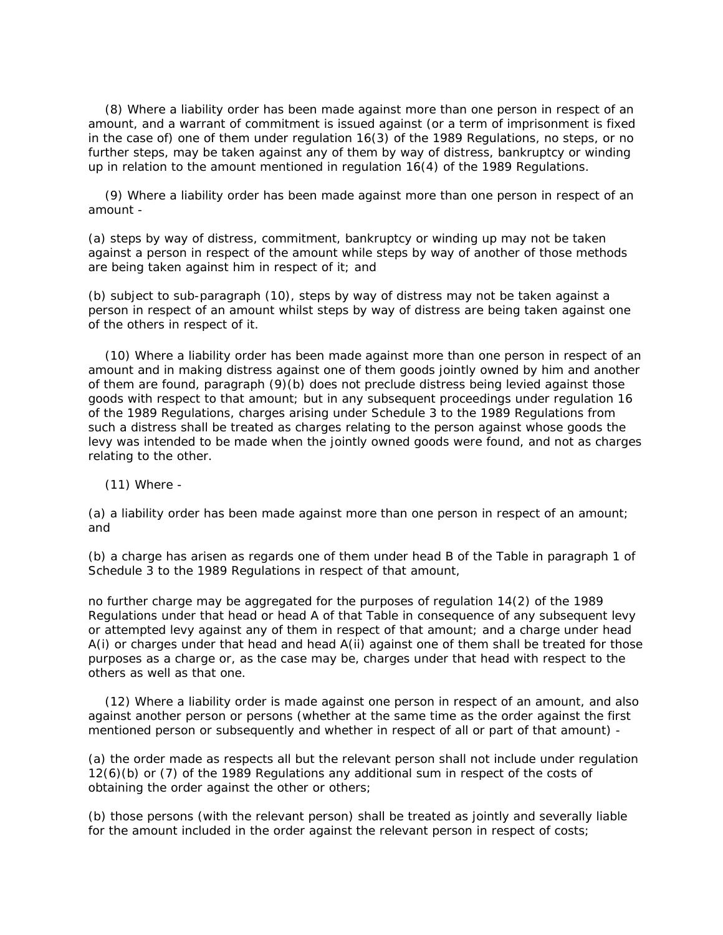(8) Where a liability order has been made against more than one person in respect of an amount, and a warrant of commitment is issued against (or a term of imprisonment is fixed in the case of) one of them under regulation 16(3) of the 1989 Regulations, no steps, or no further steps, may be taken against any of them by way of distress, bankruptcy or winding up in relation to the amount mentioned in regulation 16(4) of the 1989 Regulations.

 (9) Where a liability order has been made against more than one person in respect of an amount -

(a) steps by way of distress, commitment, bankruptcy or winding up may not be taken against a person in respect of the amount while steps by way of another of those methods are being taken against him in respect of it; and

(b) subject to sub-paragraph (10), steps by way of distress may not be taken against a person in respect of an amount whilst steps by way of distress are being taken against one of the others in respect of it.

 (10) Where a liability order has been made against more than one person in respect of an amount and in making distress against one of them goods jointly owned by him and another of them are found, paragraph (9)(b) does not preclude distress being levied against those goods with respect to that amount; but in any subsequent proceedings under regulation 16 of the 1989 Regulations, charges arising under Schedule 3 to the 1989 Regulations from such a distress shall be treated as charges relating to the person against whose goods the levy was intended to be made when the jointly owned goods were found, and not as charges relating to the other.

(11) Where -

(a) a liability order has been made against more than one person in respect of an amount; and

(b) a charge has arisen as regards one of them under head B of the Table in paragraph 1 of Schedule 3 to the 1989 Regulations in respect of that amount,

no further charge may be aggregated for the purposes of regulation 14(2) of the 1989 Regulations under that head or head A of that Table in consequence of any subsequent levy or attempted levy against any of them in respect of that amount; and a charge under head A(i) or charges under that head and head A(ii) against one of them shall be treated for those purposes as a charge or, as the case may be, charges under that head with respect to the others as well as that one.

 (12) Where a liability order is made against one person in respect of an amount, and also against another person or persons (whether at the same time as the order against the first mentioned person or subsequently and whether in respect of all or part of that amount) -

(a) the order made as respects all but the relevant person shall not include under regulation 12(6)(b) or (7) of the 1989 Regulations any additional sum in respect of the costs of obtaining the order against the other or others;

(b) those persons (with the relevant person) shall be treated as jointly and severally liable for the amount included in the order against the relevant person in respect of costs;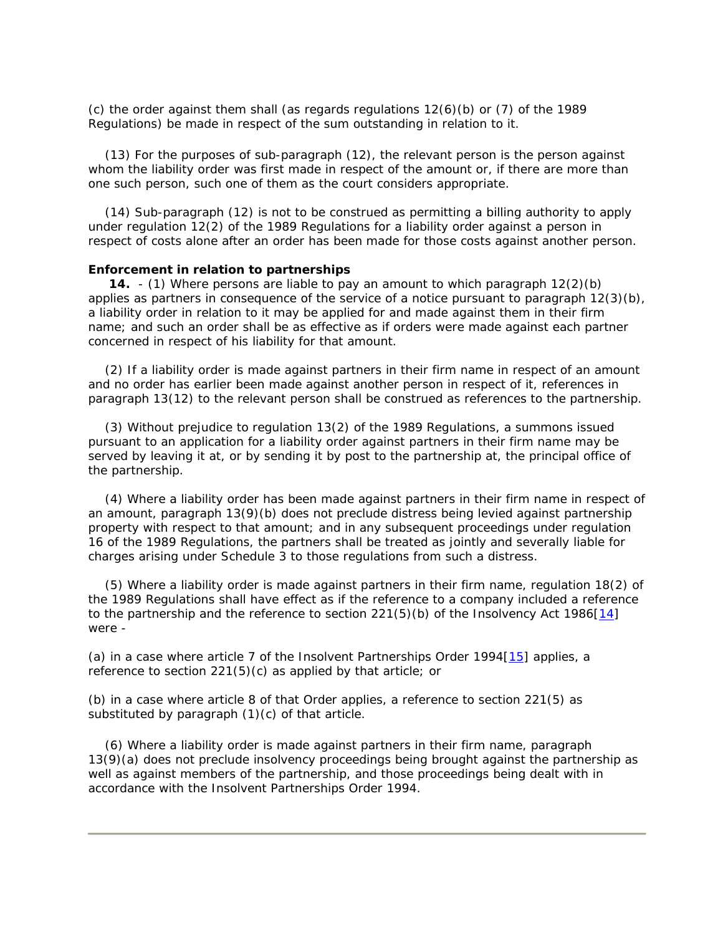(c) the order against them shall (as regards regulations 12(6)(b) or (7) of the 1989 Regulations) be made in respect of the sum outstanding in relation to it.

 (13) For the purposes of sub-paragraph (12), the relevant person is the person against whom the liability order was first made in respect of the amount or, if there are more than one such person, such one of them as the court considers appropriate.

 (14) Sub-paragraph (12) is not to be construed as permitting a billing authority to apply under regulation 12(2) of the 1989 Regulations for a liability order against a person in respect of costs alone after an order has been made for those costs against another person.

## *Enforcement in relation to partnerships*

 **14.** - (1) Where persons are liable to pay an amount to which paragraph 12(2)(b) applies as partners in consequence of the service of a notice pursuant to paragraph 12(3)(b), a liability order in relation to it may be applied for and made against them in their firm name; and such an order shall be as effective as if orders were made against each partner concerned in respect of his liability for that amount.

 (2) If a liability order is made against partners in their firm name in respect of an amount and no order has earlier been made against another person in respect of it, references in paragraph 13(12) to the relevant person shall be construed as references to the partnership.

 (3) Without prejudice to regulation 13(2) of the 1989 Regulations, a summons issued pursuant to an application for a liability order against partners in their firm name may be served by leaving it at, or by sending it by post to the partnership at, the principal office of the partnership.

 (4) Where a liability order has been made against partners in their firm name in respect of an amount, paragraph 13(9)(b) does not preclude distress being levied against partnership property with respect to that amount; and in any subsequent proceedings under regulation 16 of the 1989 Regulations, the partners shall be treated as jointly and severally liable for charges arising under Schedule 3 to those regulations from such a distress.

 (5) Where a liability order is made against partners in their firm name, regulation 18(2) of the 1989 Regulations shall have effect as if the reference to a company included a reference to the partnership and the reference to section  $221(5)(b)$  of the Insolvency Act 1986[14] were -

(a) in a case where article 7 of the Insolvent Partnerships Order 1994[15] applies, a reference to section 221(5)(c) as applied by that article; or

(b) in a case where article 8 of that Order applies, a reference to section 221(5) as substituted by paragraph (1)(c) of that article.

 (6) Where a liability order is made against partners in their firm name, paragraph 13(9)(a) does not preclude insolvency proceedings being brought against the partnership as well as against members of the partnership, and those proceedings being dealt with in accordance with the Insolvent Partnerships Order 1994.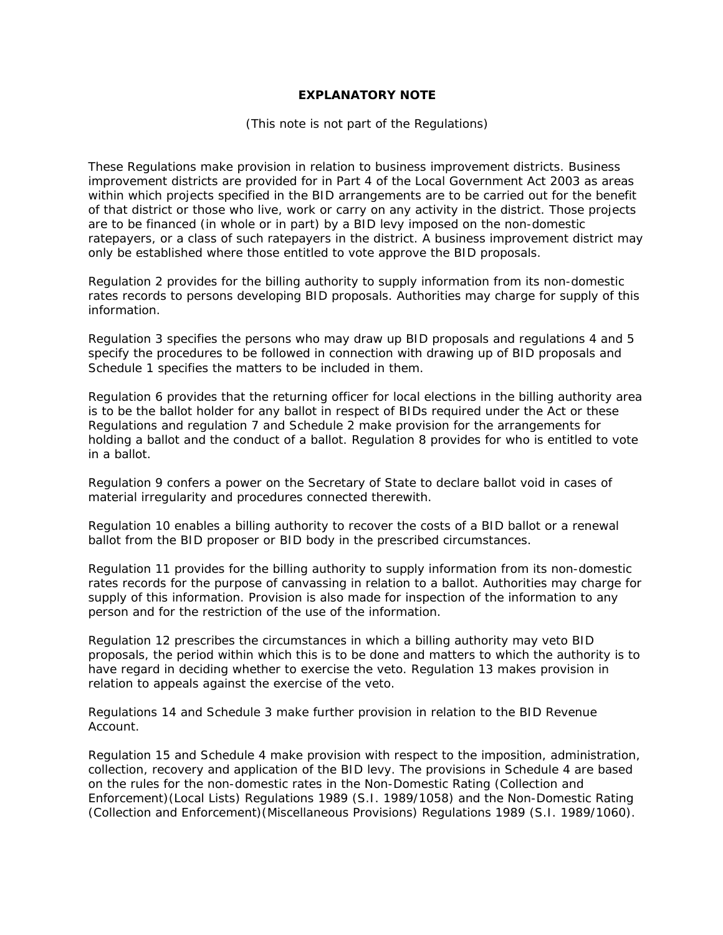# **EXPLANATORY NOTE**

## *(This note is not part of the Regulations)*

These Regulations make provision in relation to business improvement districts. Business improvement districts are provided for in Part 4 of the Local Government Act 2003 as areas within which projects specified in the BID arrangements are to be carried out for the benefit of that district or those who live, work or carry on any activity in the district. Those projects are to be financed (in whole or in part) by a BID levy imposed on the non-domestic ratepayers, or a class of such ratepayers in the district. A business improvement district may only be established where those entitled to vote approve the BID proposals.

Regulation 2 provides for the billing authority to supply information from its non-domestic rates records to persons developing BID proposals. Authorities may charge for supply of this information.

Regulation 3 specifies the persons who may draw up BID proposals and regulations 4 and 5 specify the procedures to be followed in connection with drawing up of BID proposals and Schedule 1 specifies the matters to be included in them.

Regulation 6 provides that the returning officer for local elections in the billing authority area is to be the ballot holder for any ballot in respect of BIDs required under the Act or these Regulations and regulation 7 and Schedule 2 make provision for the arrangements for holding a ballot and the conduct of a ballot. Regulation 8 provides for who is entitled to vote in a ballot.

Regulation 9 confers a power on the Secretary of State to declare ballot void in cases of material irregularity and procedures connected therewith.

Regulation 10 enables a billing authority to recover the costs of a BID ballot or a renewal ballot from the BID proposer or BID body in the prescribed circumstances.

Regulation 11 provides for the billing authority to supply information from its non-domestic rates records for the purpose of canvassing in relation to a ballot. Authorities may charge for supply of this information. Provision is also made for inspection of the information to any person and for the restriction of the use of the information.

Regulation 12 prescribes the circumstances in which a billing authority may veto BID proposals, the period within which this is to be done and matters to which the authority is to have regard in deciding whether to exercise the veto. Regulation 13 makes provision in relation to appeals against the exercise of the veto.

Regulations 14 and Schedule 3 make further provision in relation to the BID Revenue Account.

Regulation 15 and Schedule 4 make provision with respect to the imposition, administration, collection, recovery and application of the BID levy. The provisions in Schedule 4 are based on the rules for the non-domestic rates in the Non-Domestic Rating (Collection and Enforcement)(Local Lists) Regulations 1989 (S.I. 1989/1058) and the Non-Domestic Rating (Collection and Enforcement)(Miscellaneous Provisions) Regulations 1989 (S.I. 1989/1060).